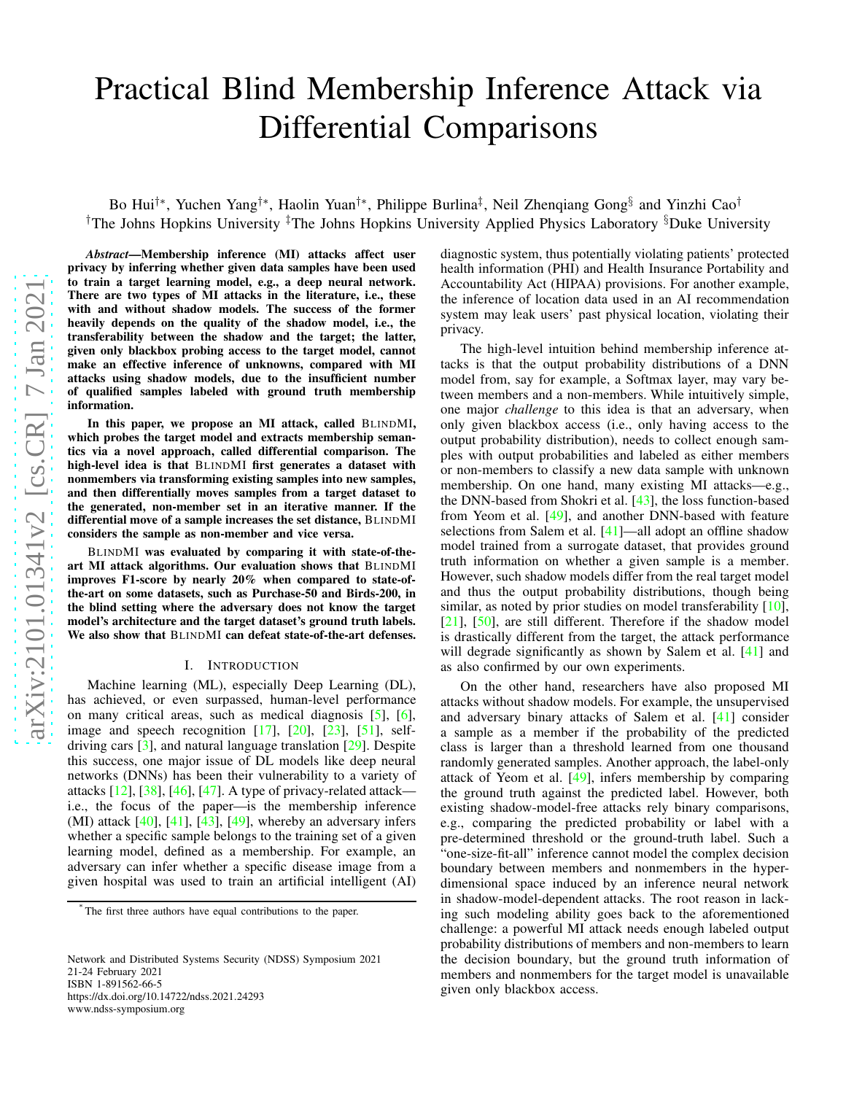# Practical Blind Membership Inference Attack via Differential Comparisons

Bo Hui<sup>†∗</sup>, Yuchen Yang<sup>†∗</sup>, Haolin Yuan<sup>†∗</sup>, Philippe Burlina<sup>‡</sup>, Neil Zhenqiang Gong<sup>§</sup> and Yinzhi Cao<sup>†</sup> <sup>†</sup>The Johns Hopkins University <sup>‡</sup>The Johns Hopkins University Applied Physics Laboratory <sup>§</sup>Duke University

*Abstract*—Membership inference (MI) attacks affect user privacy by inferring whether given data samples have been used to train a target learning model, e.g., a deep neural network . There are two types of MI attacks in the literature, i.e., these with and without shadow models. The success of the former heavily depends on the quality of the shadow model, i.e., the transferability between the shadow and the target; the latter, given only blackbox probing access to the target model, cannot make an effective inference of unknowns, compared with MI attacks using shadow models, due to the insufficient number of qualified samples labeled with ground truth membership information.

In this paper, we propose an MI attack, called BLINDMI, which probes the target model and extracts membership seman tics via a novel approach, called differential comparison. The high-level idea is that BLINDMI first generates a dataset with nonmembers via transforming existing samples into new samples, and then differentially moves samples from a target dataset to the generated, non-member set in an iterative manner. If the differential move of a sample increases the set distance, BLINDMI considers the sample as non-member and vice versa.

BLINDMI was evaluated by comparing it with state-of-theart MI attack algorithms. Our evaluation shows that BLINDMI improves F1-score by nearly 20% when compared to state-ofthe-art on some datasets, such as Purchase-50 and Birds-200, in the blind setting where the adversary does not know the targe t model's architecture and the target dataset's ground truth labels. We also show that BLINDMI can defeat state-of-the-art defenses.

#### I. INTRODUCTION

Machine learning (ML), especially Deep Learning (DL), has achieved, or even surpassed, human-level performance on many critical areas, such as medical diagnosis [ [5\]](#page-15-0), [ [6\]](#page-15-1), image and speech recognition  $[17]$ ,  $[20]$ ,  $[23]$ ,  $[51]$ , selfdriving cars [\[3\]](#page-15-3), and natural language translation [\[29\]](#page-16-3). Despite this success, one major issue of DL models like deep neural networks (DNNs) has been their vulnerability to a variety of attacks  $[12]$ ,  $[38]$ ,  $[46]$ ,  $[47]$ . A type of privacy-related attack i.e., the focus of the paper—is the membership inference (MI) attack  $[40]$ ,  $[41]$ ,  $[43]$ ,  $[49]$ , whereby an adversary infers whether a specific sample belongs to the training set of a give n learning model, defined as a membership. For example, an adversary can infer whether a specific disease image from a given hospital was used to train an artificial intelligent (AI)

Network and Distributed Systems Security (NDSS) Symposium 2021 21-24 February 2021 ISBN 1-891562-66-5 https://dx.doi.org/10.14722/ndss.2021.24293 www.ndss-symposium.org

diagnostic system, thus potentially violating patients' protected health information (PHI) and Health Insurance Portability and Accountability Act (HIPAA) provisions. For another example, the inference of location data used in an AI recommendation system may leak users' past physical location, violating their privacy.

The high-level intuition behind membership inference attacks is that the output probability distributions of a DNN model from, say for example, a Softmax layer, may vary between members and a non-members. While intuitively simple, one major *challenge* to this idea is that an adversary, when only given blackbox access (i.e., only having access to the output probability distribution), needs to collect enough samples with output probabilities and labeled as either members or non-members to classify a new data sample with unknown membership. On one hand, many existing MI attacks—e.g., the DNN-based from Shokri et al. [\[43\]](#page-16-9), the loss function-based from Yeom et al. [\[49\]](#page-16-10), and another DNN-based with feature selections from Salem et al. [\[41\]](#page-16-8)—all adopt an offline shadow model trained from a surrogate dataset, that provides ground truth information on whether a given sample is a member . However, such shadow models differ from the real target mode l and thus the output probability distributions, though bein g similar, as noted by prior studies on model transferability [\[10\]](#page-15-5), [\[21\]](#page-16-11), [\[50\]](#page-16-12), are still different. Therefore if the shadow model is drastically different from the target, the attack performance will degrade significantly as shown by Salem et al. [\[41\]](#page-16-8) and as also confirmed by our own experiments.

On the other hand, researchers have also proposed MI attacks without shadow models. For example, the unsupervised and adversary binary attacks of Salem et al. [\[41\]](#page-16-8) consider a sample as a member if the probability of the predicted class is larger than a threshold learned from one thousand randomly generated samples. Another approach, the label-only attack of Yeom et al. [\[49\]](#page-16-10), infers membership by comparing the ground truth against the predicted label. However, both existing shadow-model-free attacks rely binary comparisons, e.g., comparing the predicted probability or label with a pre-determined threshold or the ground-truth label. Such a "one-size-fit-all" inference cannot model the complex decision boundary between members and nonmembers in the hyperdimensional space induced by an inference neural network in shadow-model-dependent attacks. The root reason in lack ing such modeling ability goes back to the aforementioned challenge: a powerful MI attack needs enough labeled output probability distributions of members and non-members to learn the decision boundary, but the ground truth information of members and nonmembers for the target model is unavailable given only blackbox access.

∗

The first three authors have equal contributions to the paper .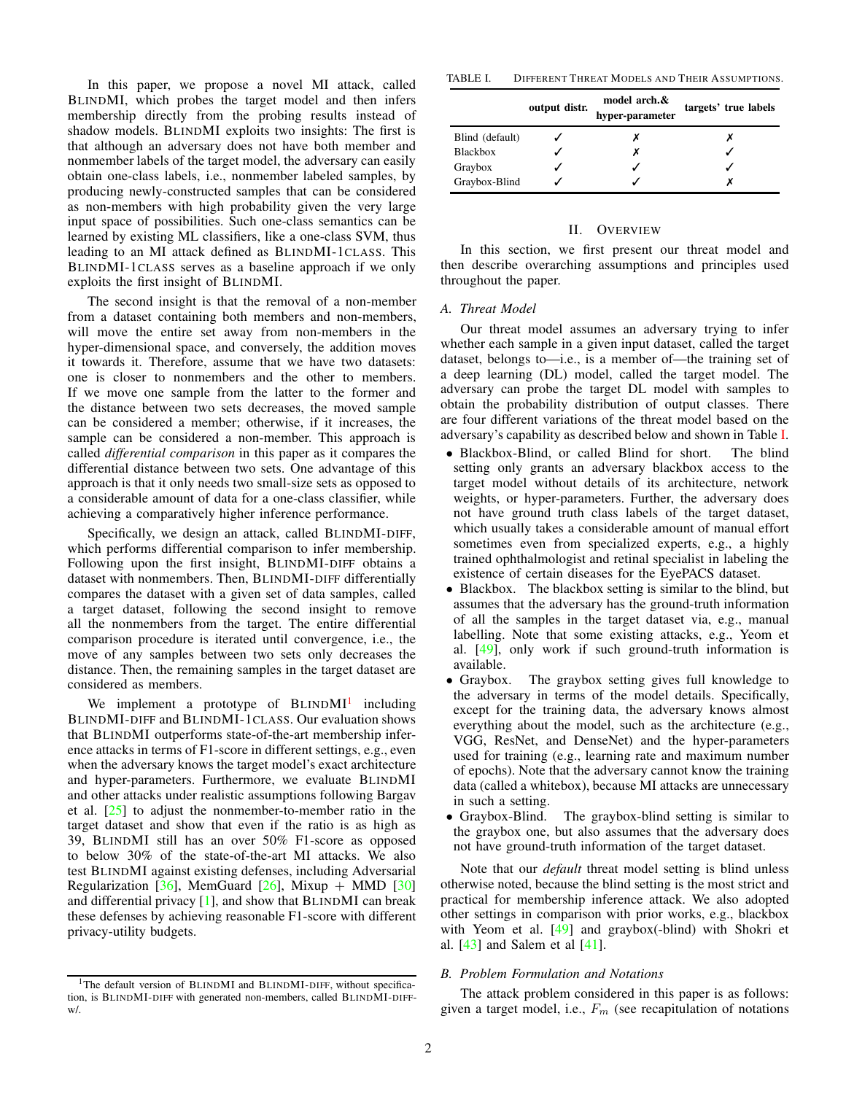In this paper, we propose a novel MI attack, called BLINDMI, which probes the target model and then infers membership directly from the probing results instead of shadow models. BLINDMI exploits two insights: The first is that although an adversary does not have both member and nonmember labels of the target model, the adversary can easily obtain one-class labels, i.e., nonmember labeled samples, by producing newly-constructed samples that can be considered as non-members with high probability given the very large input space of possibilities. Such one-class semantics can be learned by existing ML classifiers, like a one-class SVM, thus leading to an MI attack defined as BLINDMI-1CLASS. This BLINDMI-1CLASS serves as a baseline approach if we only exploits the first insight of BLINDMI.

The second insight is that the removal of a non-member from a dataset containing both members and non-members, will move the entire set away from non-members in the hyper-dimensional space, and conversely, the addition moves it towards it. Therefore, assume that we have two datasets: one is closer to nonmembers and the other to members. If we move one sample from the latter to the former and the distance between two sets decreases, the moved sample can be considered a member; otherwise, if it increases, the sample can be considered a non-member. This approach is called *differential comparison* in this paper as it compares the differential distance between two sets. One advantage of this approach is that it only needs two small-size sets as opposed to a considerable amount of data for a one-class classifier, while achieving a comparatively higher inference performance.

Specifically, we design an attack, called BLINDMI-DIFF, which performs differential comparison to infer membership. Following upon the first insight, BLINDMI-DIFF obtains a dataset with nonmembers. Then, BLINDMI-DIFF differentially compares the dataset with a given set of data samples, called a target dataset, following the second insight to remove all the nonmembers from the target. The entire differential comparison procedure is iterated until convergence, i.e., the move of any samples between two sets only decreases the distance. Then, the remaining samples in the target dataset are considered as members.

We implement a prototype of BLINDMI<sup>[1](#page-1-0)</sup> including BLINDMI-DIFF and BLINDMI-1CLASS. Our evaluation shows that BLINDMI outperforms state-of-the-art membership inference attacks in terms of F1-score in different settings, e.g., even when the adversary knows the target model's exact architecture and hyper-parameters. Furthermore, we evaluate BLINDMI and other attacks under realistic assumptions following Bargav et al.  $[25]$  to adjust the nonmember-to-member ratio in the target dataset and show that even if the ratio is as high as 39, BLINDMI still has an over 50% F1-score as opposed to below 30% of the state-of-the-art MI attacks. We also test BLINDMI against existing defenses, including Adversarial Regularization [\[36\]](#page-16-14), MemGuard [\[26\]](#page-16-15), Mixup + MMD [\[30\]](#page-16-16) and differential privacy [\[1\]](#page-15-6), and show that BLINDMI can break these defenses by achieving reasonable F1-score with different privacy-utility budgets.

TABLE I. DIFFERENT THREAT MODELS AND THEIR ASSUMPTIONS.

<span id="page-1-1"></span>

|                 | output distr. | model arch.&<br>hyper-parameter | targets' true labels |
|-----------------|---------------|---------------------------------|----------------------|
| Blind (default) |               |                                 |                      |
| <b>Blackbox</b> |               |                                 |                      |
| Graybox         |               |                                 |                      |
| Graybox-Blind   |               |                                 |                      |

#### II. OVERVIEW

In this section, we first present our threat model and then describe overarching assumptions and principles used throughout the paper.

#### *A. Threat Model*

Our threat model assumes an adversary trying to infer whether each sample in a given input dataset, called the target dataset, belongs to—i.e., is a member of—the training set of a deep learning (DL) model, called the target model. The adversary can probe the target DL model with samples to obtain the probability distribution of output classes. There are four different variations of the threat model based on the adversary's capability as described below and shown in Table [I.](#page-1-1)

- Blackbox-Blind, or called Blind for short. The blind setting only grants an adversary blackbox access to the target model without details of its architecture, network weights, or hyper-parameters. Further, the adversary does not have ground truth class labels of the target dataset, which usually takes a considerable amount of manual effort sometimes even from specialized experts, e.g., a highly trained ophthalmologist and retinal specialist in labeling the existence of certain diseases for the EyePACS dataset.
- Blackbox. The blackbox setting is similar to the blind, but assumes that the adversary has the ground-truth information of all the samples in the target dataset via, e.g., manual labelling. Note that some existing attacks, e.g., Yeom et al. [\[49\]](#page-16-10), only work if such ground-truth information is available.
- Graybox. The graybox setting gives full knowledge to the adversary in terms of the model details. Specifically, except for the training data, the adversary knows almost everything about the model, such as the architecture (e.g., VGG, ResNet, and DenseNet) and the hyper-parameters used for training (e.g., learning rate and maximum number of epochs). Note that the adversary cannot know the training data (called a whitebox), because MI attacks are unnecessary in such a setting.
- Graybox-Blind. The graybox-blind setting is similar to the graybox one, but also assumes that the adversary does not have ground-truth information of the target dataset.

Note that our *default* threat model setting is blind unless otherwise noted, because the blind setting is the most strict and practical for membership inference attack. We also adopted other settings in comparison with prior works, e.g., blackbox with Yeom et al. [\[49\]](#page-16-10) and graybox(-blind) with Shokri et al. [\[43\]](#page-16-9) and Salem et al [\[41\]](#page-16-8).

# *B. Problem Formulation and Notations*

The attack problem considered in this paper is as follows: given a target model, i.e.,  $F_m$  (see recapitulation of notations

<span id="page-1-0"></span><sup>&</sup>lt;sup>1</sup>The default version of BLINDMI and BLINDMI-DIFF, without specification, is BLINDMI-DIFF with generated non-members, called BLINDMI-DIFFw/.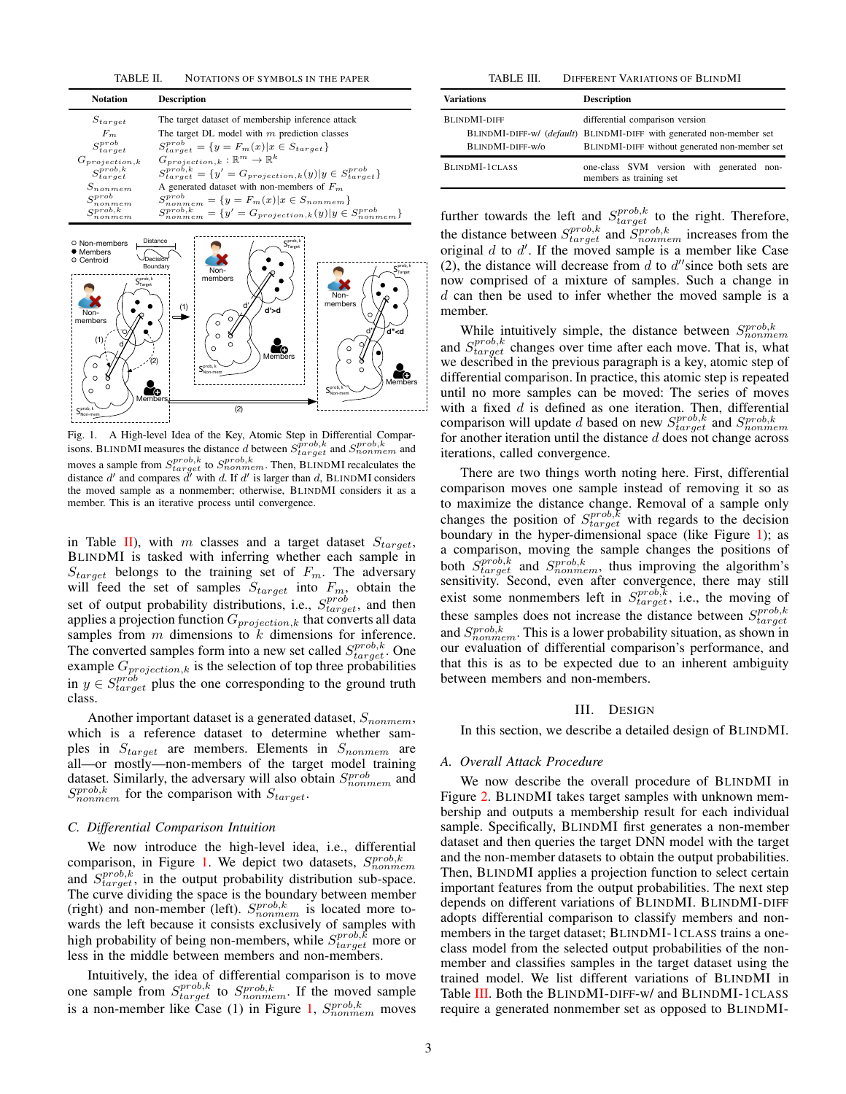<span id="page-2-0"></span>TABLE II. NOTATIONS OF SYMBOLS IN THE PAPER

| <b>Notation</b>       | <b>Description</b>                                                             |
|-----------------------|--------------------------------------------------------------------------------|
| $S_{target}$          | The target dataset of membership inference attack                              |
| $F_m$                 | The target DL model with $m$ prediction classes                                |
| $S_{target}^{prob}$   | $S_{target}^{prob} = \{y = F_m(x)   x \in S_{target}\}\$                       |
| $G_{projection,k}$    | $G_{projection,k}: \mathbb{R}^m \to \mathbb{R}^k$                              |
| $S_{target}^{prob,k}$ | $S_{target}^{prob,k} = \{y' = G_{projection,k}(y)   y \in S_{target}^{prob}\}$ |
| $S_{nom, em}$         | A generated dataset with non-members of $F_m$                                  |
| $S_{nonmem}^{prob}$   | $S_{nonmem}^{prob} = \{y = F_m(x)   x \in S_{nonmem}\}\$                       |
| $S_{nonmem}^{prob,k}$ | $S_{nonmem}^{prob,k} = \{y' = G_{projection,k}(y) y \in S_{nonmem}^{prob}\}$   |



<span id="page-2-1"></span>Fig. 1. A High-level Idea of the Key, Atomic Step in Differential Comparisons. BLINDMI measures the distance d between  $S_{target}^{\tilde{prob}, k}$  and  $S_{nonmem}^{prob, k}$  and moves a sample from  $S_{target}^{prob,k}$  to  $S_{nonmem}^{prob,k}$ . Then, BLINDMI recalculates the distance  $d'$  and compares  $d'$  with d. If d' is larger than d, BLINDMI considers the moved sample as a nonmember; otherwise, BLINDMI considers it as a member. This is an iterative process until convergence.

in Table [II\)](#page-2-0), with m classes and a target dataset  $S_{target}$ , BLINDMI is tasked with inferring whether each sample in  $S_{target}$  belongs to the training set of  $F_m$ . The adversary will feed the set of samples  $S_{target}$  into  $F_m$ , obtain the set of output probability distributions, i.e.,  $S_{target}^{prob}$ , and then applies a projection function  ${\cal G}_{projection,k}$  that converts all data samples from  $m$  dimensions to  $k$  dimensions for inference. The converted samples form into a new set called  $S_{target}^{prob,k}$ . One example  $G_{projection,k}$  is the selection of top three probabilities in  $y \in S_{target}^{prob}$  plus the one corresponding to the ground truth class.

Another important dataset is a generated dataset,  $S_{nonmem}$ , which is a reference dataset to determine whether samples in  $S_{target}$  are members. Elements in  $S_{nonmem}$  are all—or mostly—non-members of the target model training dataset. Similarly, the adversary will also obtain  $S_{nonmem}^{prob}$  and  $S_{nonmem}^{prob,k}$  for the comparison with  $S_{target}$ .

#### *C. Differential Comparison Intuition*

We now introduce the high-level idea, i.e., differential comparison, in Figure [1.](#page-2-1) We depict two datasets,  $S_{nonmem}^{prob,k}$ and  $S_{target}^{prob,k}$ , in the output probability distribution sub-space. The curve dividing the space is the boundary between member (right) and non-member (left).  $S_{nonmem}^{prob,k}$  is located more towards the left because it consists exclusively of samples with high probability of being non-members, while  $S_{target}^{prob,\hat{k}}$  more or less in the middle between members and non-members.

Intuitively, the idea of differential comparison is to move one sample from  $S_{target}^{prob,k}$  to  $S_{nonmem}^{prob,k}$ . If the moved sample is a non-member like Case (1) in Figure [1,](#page-2-1)  $S_{nonmem}^{prob,k}$  moves

<span id="page-2-2"></span>TABLE III. DIFFERENT VARIATIONS OF BLINDMI

| <b>Variations</b>                       | <b>Description</b>                                                                                                                                       |  |  |  |  |
|-----------------------------------------|----------------------------------------------------------------------------------------------------------------------------------------------------------|--|--|--|--|
| <b>BLINDMI-DIFF</b><br>BLINDMI-DIFF-w/o | differential comparison version<br>BLINDMI-DIFF-w/ (default) BLINDMI-DIFF with generated non-member set<br>BLINDMI-DIFF without generated non-member set |  |  |  |  |
| BLINDMI-1CLASS                          | one-class SVM version with generated non-<br>members as training set                                                                                     |  |  |  |  |

further towards the left and  $S_{target}^{prob,k}$  to the right. Therefore, the distance between  $S_{target}^{prob,k}$  and  $S_{nonmem}^{prob,k}$  increases from the original  $d$  to  $d'$ . If the moved sample is a member like Case (2), the distance will decrease from  $d$  to  $d''$  since both sets are now comprised of a mixture of samples. Such a change in  $d$  can then be used to infer whether the moved sample is a member.

While intuitively simple, the distance between  $S_{nonmem}^{prob,k}$ and  $S_{target}^{prob,k}$  changes over time after each move. That is, what we described in the previous paragraph is a key, atomic step of differential comparison. In practice, this atomic step is repeated until no more samples can be moved: The series of moves with a fixed  $d$  is defined as one iteration. Then, differential comparison will update d based on new  $S_{target}^{prob,k}$  and  $S_{nonmem}^{prob,k}$ for another iteration until the distance  $d$  does not change across iterations, called convergence.

There are two things worth noting here. First, differential comparison moves one sample instead of removing it so as to maximize the distance change. Removal of a sample only changes the position of  $S_{target}^{prob,k}$  with regards to the decision boundary in the hyper-dimensional space (like Figure [1\)](#page-2-1); as a comparison, moving the sample changes the positions of both  $\hat{S}^{prob,k}_{target}$  and  $S^{prob,k}_{nonmem}$ , thus improving the algorithm's sensitivity. Second, even after convergence, there may still exist some nonmembers left in  $S_{target}^{prob,k}$ , i.e., the moving of these samples does not increase the distance between  $S_{target}^{prob,k}$ and  $S_{nonmem}^{prob,k}$ . This is a lower probability situation, as shown in our evaluation of differential comparison's performance, and that this is as to be expected due to an inherent ambiguity between members and non-members.

#### III. DESIGN

In this section, we describe a detailed design of BLINDMI.

#### *A. Overall Attack Procedure*

We now describe the overall procedure of BLINDMI in Figure [2.](#page-3-0) BLINDMI takes target samples with unknown membership and outputs a membership result for each individual sample. Specifically, BLINDMI first generates a non-member dataset and then queries the target DNN model with the target and the non-member datasets to obtain the output probabilities. Then, BLINDMI applies a projection function to select certain important features from the output probabilities. The next step depends on different variations of BLINDMI. BLINDMI-DIFF adopts differential comparison to classify members and nonmembers in the target dataset; BLINDMI-1CLASS trains a oneclass model from the selected output probabilities of the nonmember and classifies samples in the target dataset using the trained model. We list different variations of BLINDMI in Table [III.](#page-2-2) Both the BLINDMI-DIFF-w/ and BLINDMI-1CLASS require a generated nonmember set as opposed to BLINDMI-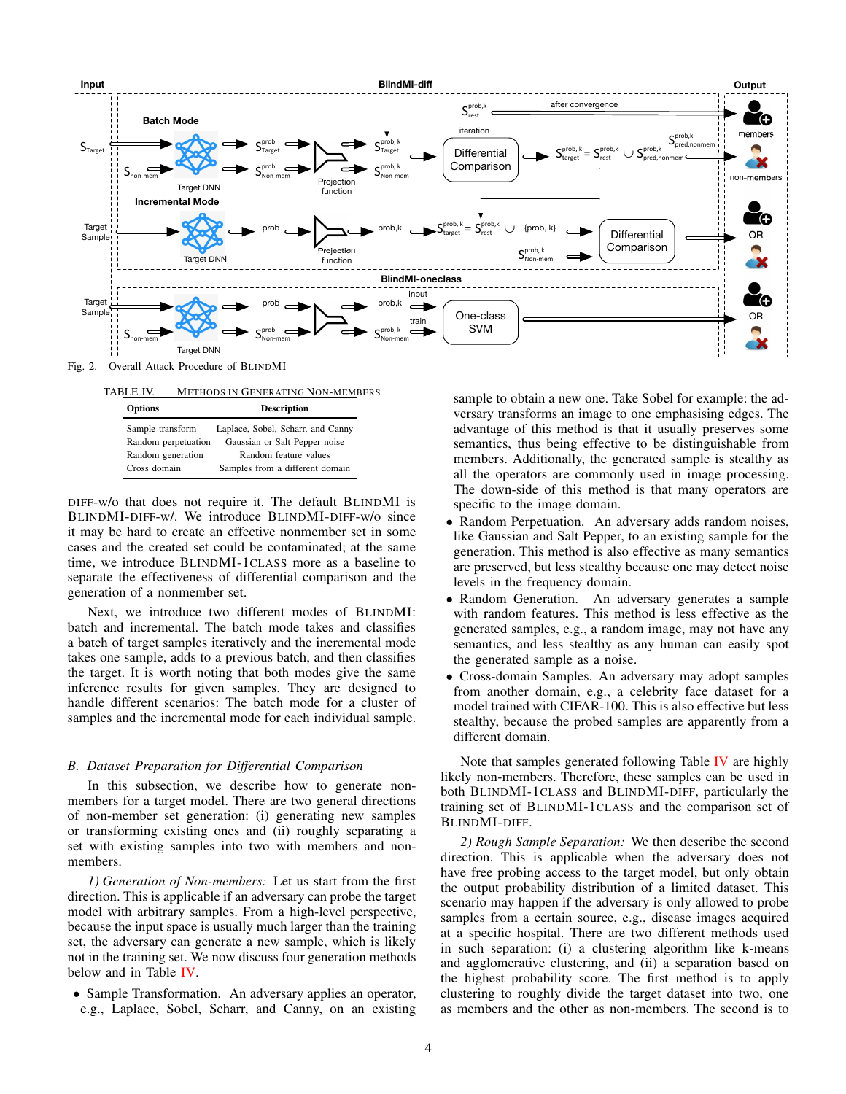

Fig. 2. Overall Attack Procedure of BLINDMI

<span id="page-3-1"></span><span id="page-3-0"></span>

| TABLE IV.           | <b>METHODS IN GENERATING NON-MEMBERS</b> |
|---------------------|------------------------------------------|
| <b>Options</b>      | <b>Description</b>                       |
| Sample transform    | Laplace, Sobel, Scharr, and Canny        |
| Random perpetuation | Gaussian or Salt Pepper noise            |
| Random generation   | Random feature values                    |
| Cross domain        | Samples from a different domain          |

DIFF-w/o that does not require it. The default BLINDMI is BLINDMI-DIFF-w/. We introduce BLINDMI-DIFF-w/o since it may be hard to create an effective nonmember set in some cases and the created set could be contaminated; at the same time, we introduce BLINDMI-1CLASS more as a baseline to separate the effectiveness of differential comparison and the generation of a nonmember set.

Next, we introduce two different modes of BLINDMI: batch and incremental. The batch mode takes and classifies a batch of target samples iteratively and the incremental mode takes one sample, adds to a previous batch, and then classifies the target. It is worth noting that both modes give the same inference results for given samples. They are designed to handle different scenarios: The batch mode for a cluster of samples and the incremental mode for each individual sample.

## *B. Dataset Preparation for Differential Comparison*

In this subsection, we describe how to generate nonmembers for a target model. There are two general directions of non-member set generation: (i) generating new samples or transforming existing ones and (ii) roughly separating a set with existing samples into two with members and nonmembers.

*1) Generation of Non-members:* Let us start from the first direction. This is applicable if an adversary can probe the target model with arbitrary samples. From a high-level perspective, because the input space is usually much larger than the training set, the adversary can generate a new sample, which is likely not in the training set. We now discuss four generation methods below and in Table [IV.](#page-3-1)

• Sample Transformation. An adversary applies an operator, e.g., Laplace, Sobel, Scharr, and Canny, on an existing

sample to obtain a new one. Take Sobel for example: the adversary transforms an image to one emphasising edges. The advantage of this method is that it usually preserves some semantics, thus being effective to be distinguishable from members. Additionally, the generated sample is stealthy as all the operators are commonly used in image processing. The down-side of this method is that many operators are specific to the image domain.

- Random Perpetuation. An adversary adds random noises, like Gaussian and Salt Pepper, to an existing sample for the generation. This method is also effective as many semantics are preserved, but less stealthy because one may detect noise levels in the frequency domain.
- Random Generation. An adversary generates a sample with random features. This method is less effective as the generated samples, e.g., a random image, may not have any semantics, and less stealthy as any human can easily spot the generated sample as a noise.
- Cross-domain Samples. An adversary may adopt samples from another domain, e.g., a celebrity face dataset for a model trained with CIFAR-100. This is also effective but less stealthy, because the probed samples are apparently from a different domain.

Note that samples generated following Table [IV](#page-3-1) are highly likely non-members. Therefore, these samples can be used in both BLINDMI-1CLASS and BLINDMI-DIFF, particularly the training set of BLINDMI-1CLASS and the comparison set of BLINDMI-DIFF.

*2) Rough Sample Separation:* We then describe the second direction. This is applicable when the adversary does not have free probing access to the target model, but only obtain the output probability distribution of a limited dataset. This scenario may happen if the adversary is only allowed to probe samples from a certain source, e.g., disease images acquired at a specific hospital. There are two different methods used in such separation: (i) a clustering algorithm like k-means and agglomerative clustering, and (ii) a separation based on the highest probability score. The first method is to apply clustering to roughly divide the target dataset into two, one as members and the other as non-members. The second is to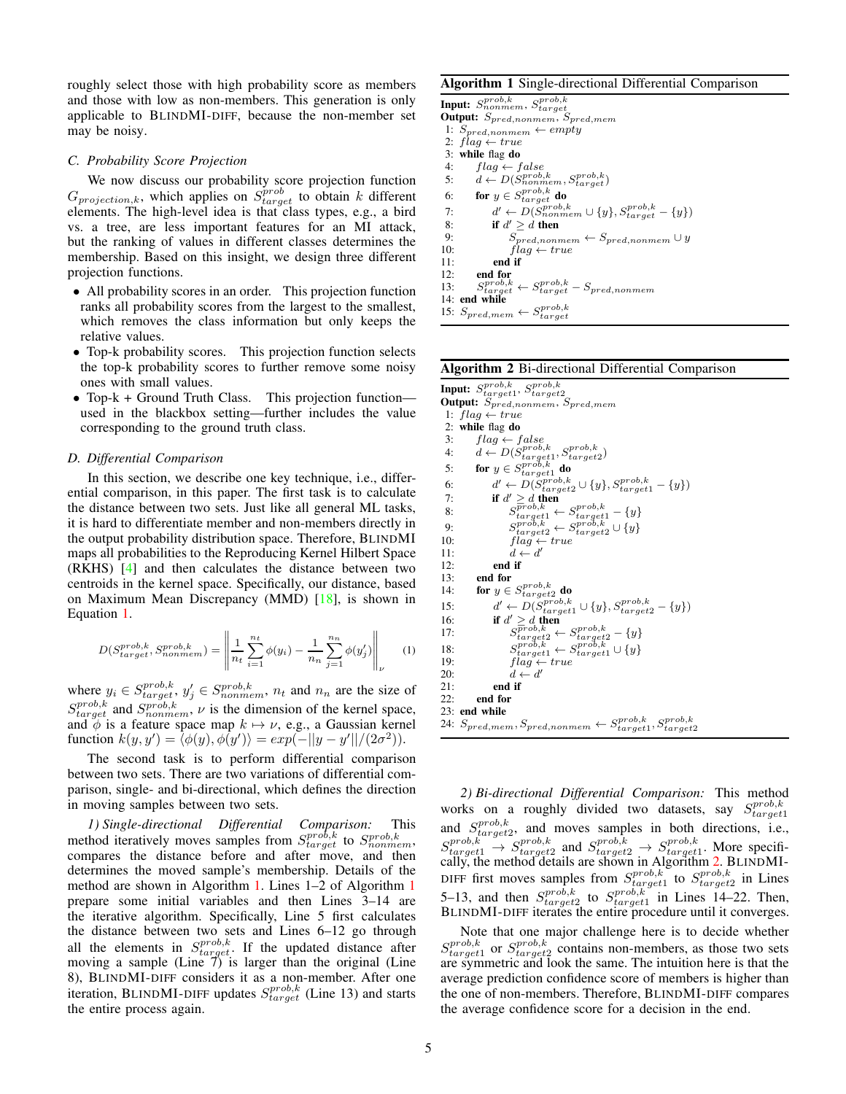roughly select those with high probability score as members and those with low as non-members. This generation is only applicable to BLINDMI-DIFF, because the non-member set may be noisy.

# *C. Probability Score Projection*

We now discuss our probability score projection function  $G_{projection,k}$ , which applies on  $S_{target}^{prob}$  to obtain k different elements. The high-level idea is that class types, e.g., a bird vs. a tree, are less important features for an MI attack, but the ranking of values in different classes determines the membership. Based on this insight, we design three different projection functions.

- All probability scores in an order. This projection function ranks all probability scores from the largest to the smallest, which removes the class information but only keeps the relative values.
- Top-k probability scores. This projection function selects the top-k probability scores to further remove some noisy ones with small values.
- Top-k + Ground Truth Class. This projection function used in the blackbox setting—further includes the value corresponding to the ground truth class.

#### *D. Differential Comparison*

In this section, we describe one key technique, i.e., differential comparison, in this paper. The first task is to calculate the distance between two sets. Just like all general ML tasks, it is hard to differentiate member and non-members directly in the output probability distribution space. Therefore, BLINDMI maps all probabilities to the Reproducing Kernel Hilbert Space (RKHS) [\[4\]](#page-15-7) and then calculates the distance between two centroids in the kernel space. Specifically, our distance, based on Maximum Mean Discrepancy (MMD) [\[18\]](#page-16-17), is shown in Equation [1.](#page-4-0)

<span id="page-4-0"></span>
$$
D(S_{target}^{prob,k}, S_{nonmem}^{prob,k}) = \left\| \frac{1}{n_t} \sum_{i=1}^{n_t} \phi(y_i) - \frac{1}{n_n} \sum_{j=1}^{n_n} \phi(y'_j) \right\|_{\nu}
$$
 (1)

where  $y_i \in S_{target}^{prob,k}$ ,  $y'_j \in S_{nonmem}^{prob,k}$ ,  $n_t$  and  $n_n$  are the size of  $S_{target}^{prob,k}$  and  $S_{nonmem}^{prob,k}$ ,  $\nu$  is the dimension of the kernel space, and  $\phi$  is a feature space map  $k \mapsto \nu$ , e.g., a Gaussian kernel function  $k(y, y') = \langle \phi(y), \phi(y') \rangle = exp(-||y - y'||/(2\sigma^2)).$ 

The second task is to perform differential comparison between two sets. There are two variations of differential comparison, single- and bi-directional, which defines the direction in moving samples between two sets.

*1) Single-directional Differential Comparison:* This method iteratively moves samples from  $S_{target}^{prob,k}$  to  $S_{nonmem}^{prob,k}$ , compares the distance before and after move, and then determines the moved sample's membership. Details of the method are shown in Algorithm [1.](#page-4-1) Lines 1–2 of Algorithm [1](#page-4-1) prepare some initial variables and then Lines 3–14 are the iterative algorithm. Specifically, Line 5 first calculates the distance between two sets and Lines 6–12 go through all the elements in  $S_{target}^{prob,k}$ . If the updated distance after moving a sample (Line  $\vec{\tau}$ ) is larger than the original (Line 8), BLINDMI-DIFF considers it as a non-member. After one iteration, BLINDMI-DIFF updates  $S_{target}^{prob,k}$  (Line 13) and starts the entire process again.

# <span id="page-4-1"></span>Algorithm 1 Single-directional Differential Comparison

```
\begin{array}{l} \textbf{Input:} \ \textit{S}_{nonmem}^{prob,k}, \ \textbf{Output:} \ \textit{S}_{pred,nommem}, \ \textit{S}_{pred,mem} \end{array}1: S_{pred,nomem} \leftarrow empty2: flag \leftarrow true3: while flag do
  4: flag \leftarrow false5: d \leftarrow D(\mathit{S_{nonmem}^{prob,k}}, \mathit{S_{target}^{prob,k}})6: for y \in S_{target}^{prob,k} do
  7: d' \leftarrow D(S_{nonmem}^{prob,k} \cup \{y\}, S_{target}^{prob,k})-\{y\})8: if d' \geq d then
9: S_{pred,nomem} \leftarrow S_{pred,nomem} \cup y<br>10: flag \leftarrow trueflag \leftarrow true11: end if
12: end for
13:_{target}^{prob,k} \leftarrow S\leftarrow S_{target}^{prob,k}- S_{pred,nonmem}14: end while
15: S_{pred,mem} \leftarrow S_{target}^{prob,k}
```
#### <span id="page-4-2"></span>Algorithm 2 Bi-directional Differential Comparison

 $\textbf{Input:}\;\textit{S}^{prob,k}_{target1},\, \textit{S}^{prob,k}_{target2}$ Output:  $S_{pred,nomem}$ ,  $S_{pred,mem}$ 1:  $flag \leftarrow true$ 2: while flag do<br>3:  $f|_{aa} \leftarrow f$ 3:  $flag \leftarrow false$ 4:  $d \leftarrow D(\mathcal{S}^{prob,k}_{target1}, \mathcal{S}^{prob,k}_{target2})$ 5: for  $y \in S_{target1}^{prob,k}$  do 6:  $d' \leftarrow D(\overset{Storob,k}{\underset{target}{S_{target}}} \cup \{y\}, \overset{S_{target}}{\underset{target}{S_{target}}} \cup \{y\})$ <br>7: **if**  $d' \geq d$  then 8:  $S_{target1}^{proof, \kappa} \leftarrow S_{target1}^{proof, \kappa} - \{y\}$ 9:  $S_{target2}^{prob,k} \leftarrow S_{target2}^{prob,k} \cup \{y\}$ 10:  $\int \hat{lag} \leftarrow true$ 11:  $d \leftarrow d'$ 12: **end if**  $13$ : **end for** 13: **end for**<br>14: **for**  $y \in$ 14: **for**  $y \in S_{target2}^{prob,k}$  do  $15:$  $y' \leftarrow D(S_{target1}^{prob,k} \cup \{y\}, S_{target2}^{prob,k} - \{y\})$ 16: if  $d' \geq d$  then  $17:$  $\frac{\overline{prob}, k}{target2} \leftarrow \frac{S^{prob,k}_{target2} - \{y\}}{target1} \leftarrow \frac{S^{prob,k}_{target1} \cup \{y\}}{target1}$  $\frac{18}{19}$ 19:  $flag \leftarrow true$ <br>20:  $d \leftarrow d'$ 20:  $d \leftarrow d'$ 21: end if 22: end for 23: end while 24:  $S_{pred,mem}, S_{pred,nommem} \leftarrow S_{target1}^{prob,k}, S_{target2}^{prob,k}$ 

*2) Bi-directional Differential Comparison:* This method works on a roughly divided two datasets, say  $S_{target1}^{prob,k}$ and  $S_{target2}^{prob,k}$ , and moves samples in both directions, i.e.,  $S_{target1}^{prob,k}$   $\rightarrow$   $S_{target2}^{prob,k}$  and  $S_{target2}^{prob,k}$   $\rightarrow$   $S_{target1}^{prob,k}$ . More specifically, the method details are shown in Algorithm [2.](#page-4-2) BLINDMI-DIFF first moves samples from  $S_{target1}^{prob,k}$  to  $S_{target2}^{prob,k}$  in Lines 5–13, and then  $S_{target2}^{prob,k}$  to  $S_{target1}^{prob,k}$  in Lines 14–22. Then, BLINDMI-DIFF iterates the entire procedure until it converges.

Note that one major challenge here is to decide whether  $S_{target1}^{prob,k}$  or  $S_{target2}^{prob,k}$  contains non-members, as those two sets are symmetric and look the same. The intuition here is that the average prediction confidence score of members is higher than the one of non-members. Therefore, BLINDMI-DIFF compares the average confidence score for a decision in the end.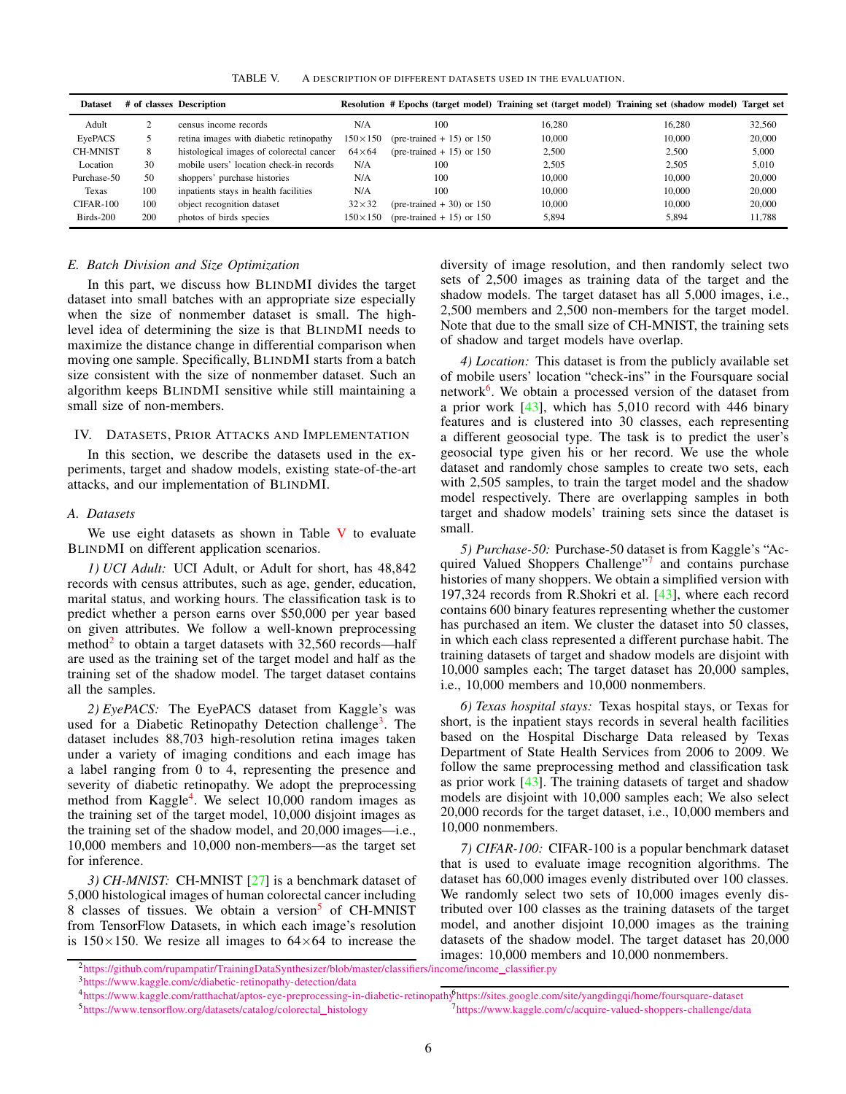<span id="page-5-0"></span>TABLE V. A DESCRIPTION OF DIFFERENT DATASETS USED IN THE EVALUATION.

| <b>Dataset</b>  |     | # of classes Description                 |                  |                             |        | Resolution # Epochs (target model) Training set (target model) Training set (shadow model) Target set |        |
|-----------------|-----|------------------------------------------|------------------|-----------------------------|--------|-------------------------------------------------------------------------------------------------------|--------|
| Adult           |     | census income records                    | N/A              | 100                         | 16.280 | 16.280                                                                                                | 32,560 |
| EyePACS         |     | retina images with diabetic retinopathy  | $150 \times 150$ | (pre-trained $+15$ ) or 150 | 10,000 | 10,000                                                                                                | 20,000 |
| <b>CH-MNIST</b> | 8   | histological images of colorectal cancer | $64\times64$     | (pre-trained $+15$ ) or 150 | 2.500  | 2.500                                                                                                 | 5,000  |
| Location        | 30  | mobile users' location check-in records  | N/A              | 100                         | 2.505  | 2.505                                                                                                 | 5,010  |
| Purchase-50     | 50  | shoppers' purchase histories             | N/A              | 100                         | 10,000 | 10,000                                                                                                | 20,000 |
| Texas           | 100 | inpatients stays in health facilities    | N/A              | 100                         | 10.000 | 10.000                                                                                                | 20,000 |
| CIFAR-100       | 100 | object recognition dataset               | $32\times32$     | (pre-trained $+30$ ) or 150 | 10,000 | 10,000                                                                                                | 20,000 |
| Birds-200       | 200 | photos of birds species                  | $150\times 150$  | (pre-trained $+15$ ) or 150 | 5.894  | 5,894                                                                                                 | 11.788 |

#### *E. Batch Division and Size Optimization*

In this part, we discuss how BLINDMI divides the target dataset into small batches with an appropriate size especially when the size of nonmember dataset is small. The highlevel idea of determining the size is that BLINDMI needs to maximize the distance change in differential comparison when moving one sample. Specifically, BLINDMI starts from a batch size consistent with the size of nonmember dataset. Such an algorithm keeps BLINDMI sensitive while still maintaining a small size of non-members.

# IV. DATASETS, PRIOR ATTACKS AND IMPLEMENTATION

In this section, we describe the datasets used in the experiments, target and shadow models, existing state-of-the-art attacks, and our implementation of BLINDMI.

#### *A. Datasets*

We use eight datasets as shown in Table  $V$  to evaluate BLINDMI on different application scenarios.

*1) UCI Adult:* UCI Adult, or Adult for short, has 48,842 records with census attributes, such as age, gender, education, marital status, and working hours. The classification task is to predict whether a person earns over \$50,000 per year based on given attributes. We follow a well-known preprocessing method<sup>[2](#page-5-1)</sup> to obtain a target datasets with 32,560 records—half are used as the training set of the target model and half as the training set of the shadow model. The target dataset contains all the samples.

*2) EyePACS:* The EyePACS dataset from Kaggle's was used for a Diabetic Retinopathy Detection challenge<sup>[3](#page-5-2)</sup>. The dataset includes 88,703 high-resolution retina images taken under a variety of imaging conditions and each image has a label ranging from 0 to 4, representing the presence and severity of diabetic retinopathy. We adopt the preprocessing method from Kaggle<sup>[4](#page-5-3)</sup>. We select 10,000 random images as the training set of the target model, 10,000 disjoint images as the training set of the shadow model, and 20,000 images—i.e., 10,000 members and 10,000 non-members—as the target set for inference.

*3) CH-MNIST:* CH-MNIST [\[27\]](#page-16-18) is a benchmark dataset of 5,000 histological images of human colorectal cancer including 8 classes of tissues. We obtain a version<sup>[5](#page-5-4)</sup> of CH-MNIST from TensorFlow Datasets, in which each image's resolution is  $150\times150$ . We resize all images to  $64\times64$  to increase the

diversity of image resolution, and then randomly select two sets of 2,500 images as training data of the target and the shadow models. The target dataset has all 5,000 images, i.e., 2,500 members and 2,500 non-members for the target model. Note that due to the small size of CH-MNIST, the training sets of shadow and target models have overlap.

*4) Location:* This dataset is from the publicly available set of mobile users' location "check-ins" in the Foursquare social network<sup>[6](#page-5-5)</sup>. We obtain a processed version of the dataset from a prior work [\[43\]](#page-16-9), which has 5,010 record with 446 binary features and is clustered into 30 classes, each representing a different geosocial type. The task is to predict the user's geosocial type given his or her record. We use the whole dataset and randomly chose samples to create two sets, each with 2,505 samples, to train the target model and the shadow model respectively. There are overlapping samples in both target and shadow models' training sets since the dataset is small.

*5) Purchase-50:* Purchase-50 dataset is from Kaggle's "Ac-quired Valued Shoppers Challenge"[7](#page-5-6) and contains purchase histories of many shoppers. We obtain a simplified version with 197,324 records from R.Shokri et al. [\[43\]](#page-16-9), where each record contains 600 binary features representing whether the customer has purchased an item. We cluster the dataset into 50 classes, in which each class represented a different purchase habit. The training datasets of target and shadow models are disjoint with 10,000 samples each; The target dataset has 20,000 samples, i.e., 10,000 members and 10,000 nonmembers.

*6) Texas hospital stays:* Texas hospital stays, or Texas for short, is the inpatient stays records in several health facilities based on the Hospital Discharge Data released by Texas Department of State Health Services from 2006 to 2009. We follow the same preprocessing method and classification task as prior work [\[43\]](#page-16-9). The training datasets of target and shadow models are disjoint with 10,000 samples each; We also select 20,000 records for the target dataset, i.e., 10,000 members and 10,000 nonmembers.

<span id="page-5-6"></span><span id="page-5-5"></span>*7) CIFAR-100:* CIFAR-100 is a popular benchmark dataset that is used to evaluate image recognition algorithms. The dataset has 60,000 images evenly distributed over 100 classes. We randomly select two sets of 10,000 images evenly distributed over 100 classes as the training datasets of the target model, and another disjoint 10,000 images as the training datasets of the shadow model. The target dataset has 20,000 images: 10,000 members and 10,000 nonmembers.

<sup>&</sup>lt;sup>2</sup>[https://github.com/rupampatir/TrainingDataSynthesizer/blob/master/classifiers/income/income](https://github.com/rupampatir/TrainingDataSynthesizer/blob/master/classifiers/income/income_classifier.py)\_classifier.py

<span id="page-5-1"></span><sup>3</sup><https://www.kaggle.com/c/diabetic-retinopathy-detection/data>

<span id="page-5-4"></span><span id="page-5-3"></span><span id="page-5-2"></span><sup>4</sup><https://www.kaggle.com/ratthachat/aptos-eye-preprocessing-in-diabetic-retinopathy> <sup>6</sup><https://sites.google.com/site/yangdingqi/home/foursquare-dataset> 5[https://www.tensorflow.org/datasets/catalog/colorectal](https://www.tensorflow.org/datasets/catalog/colorectal_histology)\_histology <sup>7</sup><https://www.kaggle.com/c/acquire-valued-shoppers-challenge/data>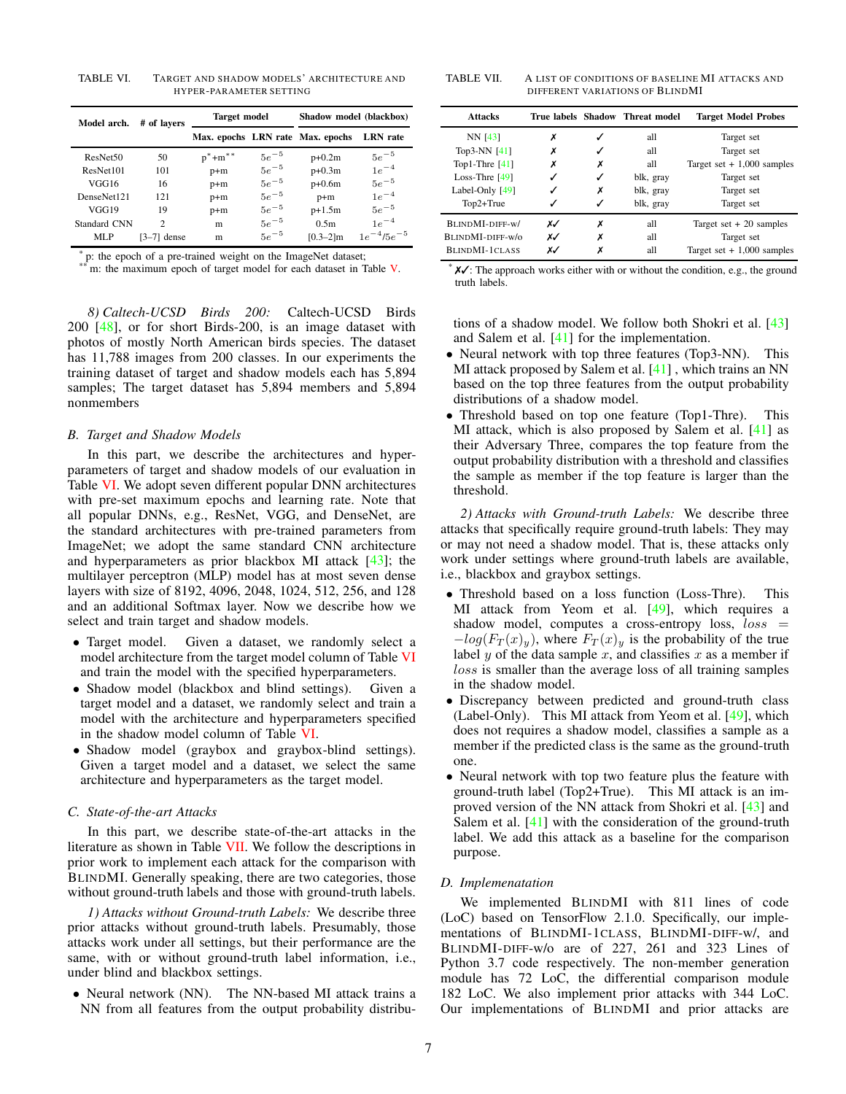<span id="page-6-0"></span>TABLE VI. TARGET AND SHADOW MODELS' ARCHITECTURE AND HYPER-PARAMETER SETTING

| Model arch.          | # of lavers    | <b>Target model</b> |           | Shadow model (blackbox)          |                   |  |
|----------------------|----------------|---------------------|-----------|----------------------------------|-------------------|--|
|                      |                |                     |           | Max. epochs LRN rate Max. epochs | <b>LRN</b> rate   |  |
| ResNet <sub>50</sub> | 50             | $p^* + m^*$         | $5e^{-5}$ | $p+0.2m$                         | $5e^{-5}$         |  |
| ResNet101            | 101            | $p+m$               | $5e^{-5}$ | $p+0.3m$                         | $1e^{-4}$         |  |
| VGG16                | 16             | $p+m$               | $5e^{-5}$ | $p+0.6m$                         | $5e^{-5}$         |  |
| DenseNet121          | 121            | $p+m$               | $5e^{-5}$ | $p+m$                            | $1e^{-4}$         |  |
| VGG19                | 19             | $p+m$               | $5e^{-5}$ | $p+1.5m$                         | $5e^{-5}$         |  |
| Standard CNN         | $\overline{c}$ | m                   | $5e^{-5}$ | 0.5 <sub>m</sub>                 | $1e^{-4}$         |  |
| MLP                  | $[3-7]$ dense  | m                   | $5e^{-5}$ | $[0.3 - 2]m$                     | $1e^{-4/5}e^{-5}$ |  |

\* p: the epoch of a pre-trained weight on the ImageNet dataset;

m: the maximum epoch of target model for each dataset in Table [V.](#page-5-0)

*8) Caltech-UCSD Birds 200:* Caltech-UCSD Birds 200 [\[48\]](#page-16-19), or for short Birds-200, is an image dataset with photos of mostly North American birds species. The dataset has 11,788 images from 200 classes. In our experiments the training dataset of target and shadow models each has 5,894 samples; The target dataset has 5,894 members and 5,894 nonmembers

# *B. Target and Shadow Models*

In this part, we describe the architectures and hyperparameters of target and shadow models of our evaluation in Table [VI.](#page-6-0) We adopt seven different popular DNN architectures with pre-set maximum epochs and learning rate. Note that all popular DNNs, e.g., ResNet, VGG, and DenseNet, are the standard architectures with pre-trained parameters from ImageNet; we adopt the same standard CNN architecture and hyperparameters as prior blackbox MI attack  $[43]$ ; the multilayer perceptron (MLP) model has at most seven dense layers with size of 8192, 4096, 2048, 1024, 512, 256, and 128 and an additional Softmax layer. Now we describe how we select and train target and shadow models.

- Target model. Given a dataset, we randomly select a model architecture from the target model column of Table [VI](#page-6-0) and train the model with the specified hyperparameters.
- Shadow model (blackbox and blind settings). Given a target model and a dataset, we randomly select and train a model with the architecture and hyperparameters specified in the shadow model column of Table [VI.](#page-6-0)
- Shadow model (graybox and graybox-blind settings). Given a target model and a dataset, we select the same architecture and hyperparameters as the target model.

## <span id="page-6-2"></span>*C. State-of-the-art Attacks*

In this part, we describe state-of-the-art attacks in the literature as shown in Table [VII.](#page-6-1) We follow the descriptions in prior work to implement each attack for the comparison with BLINDMI. Generally speaking, there are two categories, those without ground-truth labels and those with ground-truth labels.

*1) Attacks without Ground-truth Labels:* We describe three prior attacks without ground-truth labels. Presumably, those attacks work under all settings, but their performance are the same, with or without ground-truth label information, i.e., under blind and blackbox settings.

• Neural network (NN). The NN-based MI attack trains a NN from all features from the output probability distribu-

<span id="page-6-1"></span>TABLE VII. A LIST OF CONDITIONS OF BASELINE MI ATTACKS AND DIFFERENT VARIATIONS OF BLINDMI

| <b>Attacks</b>    |    |   | True labels Shadow Threat model | <b>Target Model Probes</b>  |
|-------------------|----|---|---------------------------------|-----------------------------|
| NN [43]           | х  |   | all                             | Target set                  |
| Top3-NN [41]      | х  | ✓ | all                             | Target set                  |
| Top1-Thre $[41]$  | х  | х | all                             | Target set $+1,000$ samples |
| Loss-Thre $[49]$  |    | ✓ | blk, gray                       | Target set                  |
| Label-Only $[49]$ |    | х | blk, gray                       | Target set                  |
| Top2+True         |    | ✓ | blk, gray                       | Target set                  |
| BLINDMI-DIFF-w/   | x√ | х | all                             | Target set $+20$ samples    |
| BLINDMI-DIFF-w/o  | x√ | х | all                             | Target set                  |
| BLINDMI-1CLASS    | x√ | Х | all                             | Target set $+1,000$ samples |

 $\mathsf{X} \mathsf{V}$ : The approach works either with or without the condition, e.g., the ground truth labels.

tions of a shadow model. We follow both Shokri et al. [\[43\]](#page-16-9) and Salem et al.  $[41]$  for the implementation.

- Neural network with top three features (Top3-NN). This MI attack proposed by Salem et al. [\[41\]](#page-16-8), which trains an NN based on the top three features from the output probability distributions of a shadow model.
- Threshold based on top one feature (Top1-Thre). This MI attack, which is also proposed by Salem et al.  $[41]$  as their Adversary Three, compares the top feature from the output probability distribution with a threshold and classifies the sample as member if the top feature is larger than the threshold.

*2) Attacks with Ground-truth Labels:* We describe three attacks that specifically require ground-truth labels: They may or may not need a shadow model. That is, these attacks only work under settings where ground-truth labels are available, i.e., blackbox and graybox settings.

- Threshold based on a loss function (Loss-Thre). This MI attack from Yeom et al. [\[49\]](#page-16-10), which requires a shadow model, computes a cross-entropy loss,  $loss =$  $-log(F_T(x)_y)$ , where  $F_T(x)_y$  is the probability of the true label y of the data sample x, and classifies x as a member if loss is smaller than the average loss of all training samples in the shadow model.
- Discrepancy between predicted and ground-truth class (Label-Only). This MI attack from Yeom et al. [\[49\]](#page-16-10), which does not requires a shadow model, classifies a sample as a member if the predicted class is the same as the ground-truth one.
- Neural network with top two feature plus the feature with ground-truth label (Top2+True). This MI attack is an improved version of the NN attack from Shokri et al. [\[43\]](#page-16-9) and Salem et al. [\[41\]](#page-16-8) with the consideration of the ground-truth label. We add this attack as a baseline for the comparison purpose.

## *D. Implemenatation*

We implemented BLINDMI with 811 lines of code (LoC) based on TensorFlow 2.1.0. Specifically, our implementations of BLINDMI-1CLASS, BLINDMI-DIFF-w/, and BLINDMI-DIFF-w/o are of 227, 261 and 323 Lines of Python 3.7 code respectively. The non-member generation module has 72 LoC, the differential comparison module 182 LoC. We also implement prior attacks with 344 LoC. Our implementations of BLINDMI and prior attacks are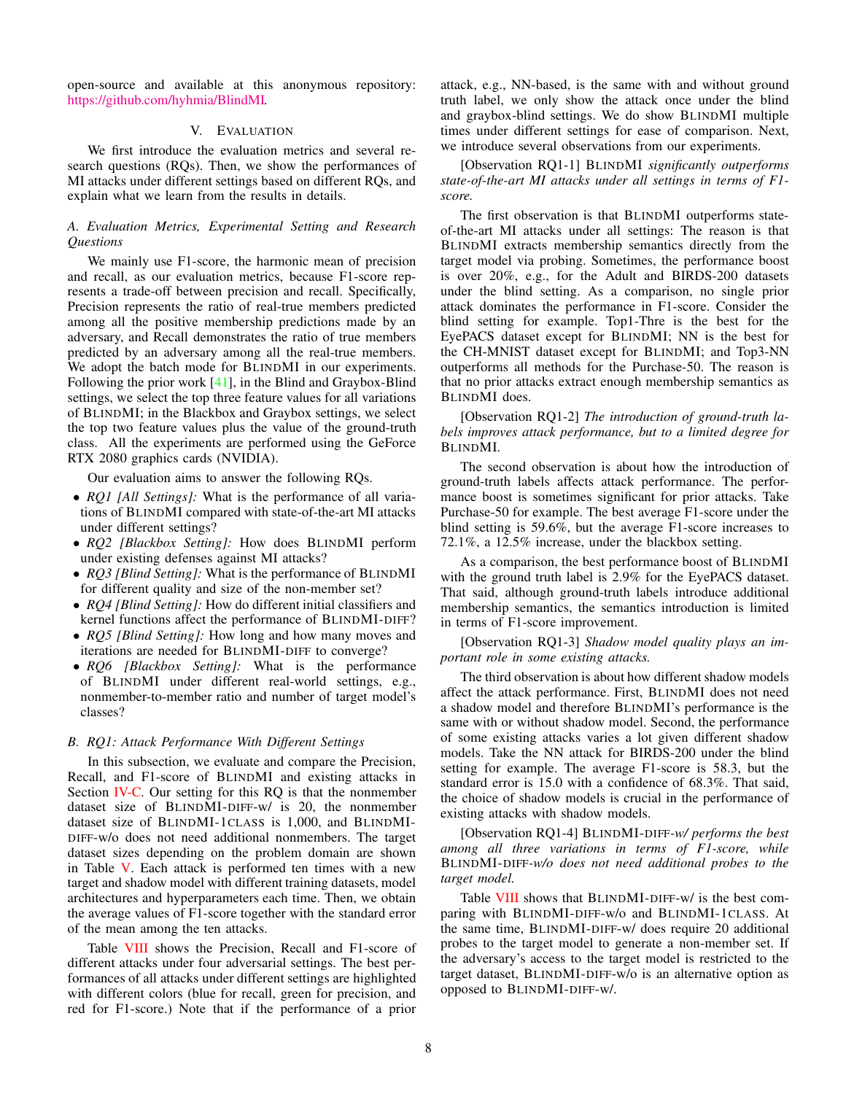open-source and available at this anonymous repository: [https://github.com/hyhmia/BlindMI.](https://github.com/hyhmia/BlindMI)

# V. EVALUATION

We first introduce the evaluation metrics and several research questions (RQs). Then, we show the performances of MI attacks under different settings based on different RQs, and explain what we learn from the results in details.

# *A. Evaluation Metrics, Experimental Setting and Research Questions*

We mainly use F1-score, the harmonic mean of precision and recall, as our evaluation metrics, because F1-score represents a trade-off between precision and recall. Specifically, Precision represents the ratio of real-true members predicted among all the positive membership predictions made by an adversary, and Recall demonstrates the ratio of true members predicted by an adversary among all the real-true members. We adopt the batch mode for BLINDMI in our experiments. Following the prior work [\[41\]](#page-16-8), in the Blind and Graybox-Blind settings, we select the top three feature values for all variations of BLINDMI; in the Blackbox and Graybox settings, we select the top two feature values plus the value of the ground-truth class. All the experiments are performed using the GeForce RTX 2080 graphics cards (NVIDIA).

Our evaluation aims to answer the following RQs.

- *RQ1 [All Settings]:* What is the performance of all variations of BLINDMI compared with state-of-the-art MI attacks under different settings?
- *RQ2 [Blackbox Setting]:* How does BLINDMI perform under existing defenses against MI attacks?
- *RQ3 [Blind Setting]:* What is the performance of BLINDMI for different quality and size of the non-member set?
- *RQ4 [Blind Setting]:* How do different initial classifiers and kernel functions affect the performance of BLINDMI-DIFF?
- *RQ5 [Blind Setting]:* How long and how many moves and iterations are needed for BLINDMI-DIFF to converge?
- *RQ6 [Blackbox Setting]:* What is the performance of BLINDMI under different real-world settings, e.g., nonmember-to-member ratio and number of target model's classes?

# *B. RQ1: Attack Performance With Different Settings*

In this subsection, we evaluate and compare the Precision, Recall, and F1-score of BLINDMI and existing attacks in Section [IV-C.](#page-6-2) Our setting for this RQ is that the nonmember dataset size of BLINDMI-DIFF-w/ is 20, the nonmember dataset size of BLINDMI-1CLASS is 1,000, and BLINDMI-DIFF-w/o does not need additional nonmembers. The target dataset sizes depending on the problem domain are shown in Table [V.](#page-5-0) Each attack is performed ten times with a new target and shadow model with different training datasets, model architectures and hyperparameters each time. Then, we obtain the average values of F1-score together with the standard error of the mean among the ten attacks.

Table [VIII](#page-8-0) shows the Precision, Recall and F1-score of different attacks under four adversarial settings. The best performances of all attacks under different settings are highlighted with different colors (blue for recall, green for precision, and red for F1-score.) Note that if the performance of a prior attack, e.g., NN-based, is the same with and without ground truth label, we only show the attack once under the blind and graybox-blind settings. We do show BLINDMI multiple times under different settings for ease of comparison. Next, we introduce several observations from our experiments.

[Observation RQ1-1] BLINDMI *significantly outperforms state-of-the-art MI attacks under all settings in terms of F1 score.*

The first observation is that BLINDMI outperforms stateof-the-art MI attacks under all settings: The reason is that BLINDMI extracts membership semantics directly from the target model via probing. Sometimes, the performance boost is over 20%, e.g., for the Adult and BIRDS-200 datasets under the blind setting. As a comparison, no single prior attack dominates the performance in F1-score. Consider the blind setting for example. Top1-Thre is the best for the EyePACS dataset except for BLINDMI; NN is the best for the CH-MNIST dataset except for BLINDMI; and Top3-NN outperforms all methods for the Purchase-50. The reason is that no prior attacks extract enough membership semantics as BLINDMI does.

[Observation RQ1-2] *The introduction of ground-truth labels improves attack performance, but to a limited degree for* BLINDMI*.*

The second observation is about how the introduction of ground-truth labels affects attack performance. The performance boost is sometimes significant for prior attacks. Take Purchase-50 for example. The best average F1-score under the blind setting is 59.6%, but the average F1-score increases to 72.1%, a 12.5% increase, under the blackbox setting.

As a comparison, the best performance boost of BLINDMI with the ground truth label is 2.9% for the EyePACS dataset. That said, although ground-truth labels introduce additional membership semantics, the semantics introduction is limited in terms of F1-score improvement.

[Observation RQ1-3] *Shadow model quality plays an important role in some existing attacks.*

The third observation is about how different shadow models affect the attack performance. First, BLINDMI does not need a shadow model and therefore BLINDMI's performance is the same with or without shadow model. Second, the performance of some existing attacks varies a lot given different shadow models. Take the NN attack for BIRDS-200 under the blind setting for example. The average F1-score is 58.3, but the standard error is 15.0 with a confidence of 68.3%. That said, the choice of shadow models is crucial in the performance of existing attacks with shadow models.

[Observation RQ1-4] BLINDMI-DIFF*-w/ performs the best among all three variations in terms of F1-score, while* BLINDMI-DIFF*-w/o does not need additional probes to the target model.*

Table [VIII](#page-8-0) shows that BLINDMI-DIFF-w/ is the best comparing with BLINDMI-DIFF-w/o and BLINDMI-1CLASS. At the same time, BLINDMI-DIFF-w/ does require 20 additional probes to the target model to generate a non-member set. If the adversary's access to the target model is restricted to the target dataset, BLINDMI-DIFF-w/o is an alternative option as opposed to BLINDMI-DIFF-w/.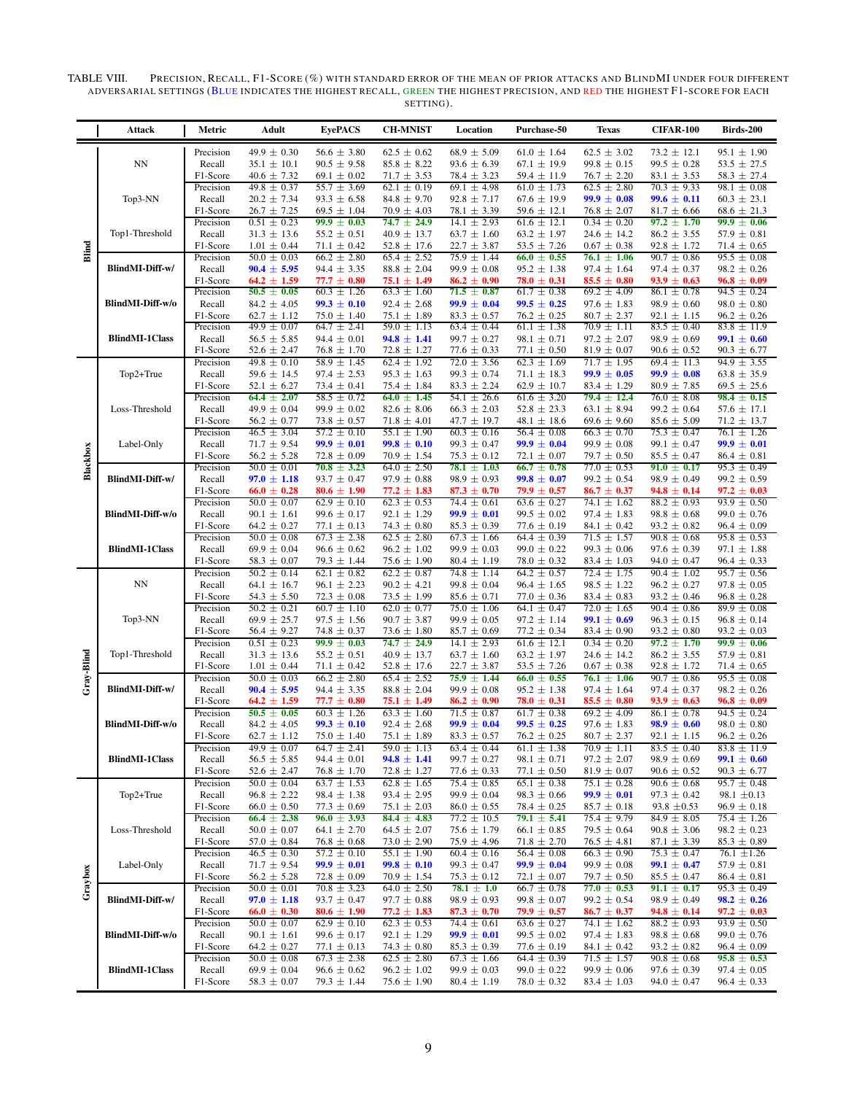TABLE VIII. PRECISION, RECALL, F1-SCORE (%) WITH STANDARD ERROR OF THE MEAN OF PRIOR ATTACKS AND BLINDMI UNDER FOUR DIFFERENT ADVERSARIAL SETTINGS (BLUE INDICATES THE HIGHEST RECALL, GREEN THE HIGHEST PRECIS ION, AND RED THE HIGHEST F1-SCORE FOR EACH SETTING).

<span id="page-8-0"></span>

|            | Attack                | Metric                | Adult                                  | <b>EyePACS</b>                       | <b>CH-MNIST</b>                    | Location                           | Purchase-50                        | <b>Texas</b>                       | <b>CIFAR-100</b>                   | Birds-200                          |
|------------|-----------------------|-----------------------|----------------------------------------|--------------------------------------|------------------------------------|------------------------------------|------------------------------------|------------------------------------|------------------------------------|------------------------------------|
|            |                       | Precision             | $49.9 \pm 0.30$                        | $56.6 \pm 3.80$                      | $62.5 \pm 0.62$                    | $68.9 \pm 5.09$                    | $61.0 \pm 1.64$                    | $62.5 \pm 3.02$                    | $73.2 \pm 12.1$                    | $95.1 \pm 1.90$                    |
|            | NN                    | Recall                | $35.1 \pm 10.1$                        | $90.5 \pm 9.58$                      | $85.8 \pm 8.22$                    | $93.6 \pm 6.39$                    | $67.1 \pm 19.9$                    | $99.8 \pm 0.15$                    | $99.5 \pm 0.28$                    | $53.5 \pm 27.5$                    |
|            |                       | F1-Score<br>Precision | $40.6 \pm 7.32$<br>$49.8 \pm 0.37$     | $69.1 \pm 0.02$<br>$55.7 \pm 3.69$   | $71.7 \pm 3.53$<br>$62.1 \pm 0.19$ | $78.4 \pm 3.23$<br>$69.1 \pm 4.98$ | $59.4 \pm 11.9$<br>$61.0 \pm 1.73$ | $76.7 \pm 2.20$<br>$62.5 \pm 2.80$ | $83.1 \pm 3.53$<br>$70.3 \pm 9.33$ | $58.3 \pm 27.4$<br>$98.1 \pm 0.08$ |
| Blind      | Top3-NN               | Recall                | $20.2 \pm 7.34$                        | $93.3 \pm 6.58$                      | $84.8 \pm 9.70$                    | $92.8 \pm 7.17$                    | $67.6 \pm 19.9$                    | $99.9 \pm 0.08$                    | $99.6 \pm 0.11$                    | $60.3 \pm 23.1$                    |
|            |                       | F1-Score              | $26.7 \pm 7.25$                        | $69.5 \pm 1.04$                      | $70.9 \pm 4.03$                    | $78.1 \pm 3.39$                    | $59.6 \pm 12.1$                    | $76.8 \pm 2.07$                    | $81.7 \pm 6.66$                    | $68.6 \pm 21.3$                    |
|            | Top1-Threshold        | Precision<br>Recall   | $0.51 \pm 0.23$<br>$31.3 \pm 13.6$     | $99.9 \pm 0.03$<br>$55.2 \pm 0.51$   | $74.7 \pm 24.9$<br>$40.9 \pm 13.7$ | $14.1 \pm 2.93$<br>$63.7 \pm 1.60$ | $61.6 \pm 12.1$<br>$63.2 \pm 1.97$ | $0.34 \pm 0.20$<br>$24.6 \pm 14.2$ | $97.2 \pm 1.70$<br>$86.2 \pm 3.55$ | $99.9 \pm 0.06$<br>$57.9 \pm 0.81$ |
|            |                       | F1-Score              | $1.01 \pm 0.44$                        | $71.1 \pm 0.42$                      | $52.8 \pm 17.6$                    | $22.7 \pm 3.87$                    | 53.5 $\pm$ 7.26                    | $0.67 \pm 0.38$                    | $92.8 \pm 1.72$                    | $71.4 \pm 0.65$                    |
|            | BlindMI-Diff-w/       | Precision             | $50.0 \pm 0.03$                        | $66.2 \pm 2.80$                      | $65.4 \pm 2.52$                    | $75.9 \pm 1.44$                    | $66.0 \pm 0.55$                    | $76.1 \pm 1.06$                    | $90.7 \pm 0.86$                    | $95.5 \pm 0.08$                    |
|            |                       | Recall<br>F1-Score    | $90.4 \pm 5.95$<br>$64.2 \pm 1.59$     | $94.4 \pm 3.35$<br>$77.7 \pm 0.80$   | $88.8 \pm 2.04$<br>$75.1 \pm 1.49$ | $99.9 \pm 0.08$<br>$86.2 \pm 0.90$ | $95.2 \pm 1.38$<br>$78.0 \pm 0.31$ | $97.4 \pm 1.64$<br>$85.5 \pm 0.80$ | $97.4 \pm 0.37$<br>$93.9 \pm 0.63$ | $98.2 \pm 0.26$<br>$96.8 \pm 0.09$ |
|            |                       | Precision             | $50.5 \pm 0.05$                        | $60.3 \pm 1.26$                      | $63.3 \pm 1.60$                    | $71.5 \pm 0.87$                    | $61.7 \pm 0.38$                    | $69.2 \pm 4.09$                    | $86.1 \pm 0.78$                    | $94.5 \pm 0.24$                    |
|            | BlindMI-Diff-w/o      | Recall                | $84.2 \pm 4.05$                        | $99.3 \pm 0.10$                      | $92.4 \pm 2.68$                    | $99.9 \pm 0.04$                    | $99.5 \pm 0.25$                    | $97.6 \pm 1.83$                    | $98.9 \pm 0.60$                    | $98.0 \pm 0.80$                    |
|            |                       | F1-Score<br>Precision | $62.7 \pm 1.12$<br>$49.9 \pm 0.07$     | $75.0 \pm 1.40$<br>$64.7 \pm 2.41$   | $75.1 \pm 1.89$<br>$59.0 \pm 1.13$ | $83.3 \pm 0.57$<br>$63.4 \pm 0.44$ | $76.2 \pm 0.25$<br>$61.1 \pm 1.38$ | $80.7 \pm 2.37$<br>$70.9 \pm 1.11$ | $92.1 \pm 1.15$<br>$83.5 \pm 0.40$ | $96.2 \pm 0.26$<br>$83.8 \pm 11.9$ |
|            | <b>BlindMI-1Class</b> | Recall                | $56.5 \pm 5.85$                        | $94.4 \pm 0.01$                      | $94.8 \pm 1.41$                    | $99.7 \pm 0.27$                    | $98.1 \pm 0.71$                    | $97.2 \pm 2.07$                    | $98.9 \pm 0.69$                    | $99.1 \pm 0.60$                    |
|            |                       | F1-Score              | $52.6 \pm 2.47$                        | $76.8 \pm 1.70$                      | $72.8 \pm 1.27$                    | $77.6 \pm 0.33$                    | $77.1 \pm 0.50$                    | $81.9 \pm 0.07$                    | $90.6 \pm 0.52$                    | $90.3 \pm 6.77$                    |
|            | Top2+True             | Precision<br>Recall   | $49.8 \pm 0.10$<br>$59.6 \pm 14.5$     | $58.9 \pm 1.45$<br>$97.4 \pm 2.53$   | $62.4 \pm 1.92$<br>$95.3 \pm 1.63$ | $72.0 \pm 3.56$<br>$99.3 \pm 0.74$ | $62.3 \pm 1.69$<br>$71.1 \pm 18.3$ | $71.7 \pm 1.95$<br>$99.9 \pm 0.05$ | $69.4 \pm 11.3$<br>$99.9 \pm 0.08$ | $94.9 \pm 3.55$<br>$63.8 \pm 35.9$ |
|            |                       | F1-Score              | $52.1 \pm 6.27$                        | $73.4 \pm 0.41$                      | $75.4 \pm 1.84$                    | $83.3 \pm 2.24$                    | $62.9 \pm 10.7$                    | $83.4 \pm 1.29$                    | $80.9 \pm 7.85$                    | $69.5 \pm 25.6$                    |
|            |                       | Precision             | $64.4 \pm 2.07$                        | $58.5 \pm 0.72$                      | $64.0 \pm 1.45$                    | $54.1 \pm 26.6$                    | $61.6 \pm 3.20$                    | $79.4 \pm 12.4$                    | $76.0 \pm 8.08$                    | $98.4 \pm 0.15$                    |
|            | Loss-Threshold        | Recall<br>F1-Score    | $49.9 \pm 0.04$<br>$56.2 \pm 0.77$     | $99.9 \pm 0.02$<br>$73.8 \pm 0.57$   | $82.6 \pm 8.06$<br>$71.8 \pm 4.01$ | $66.3 \pm 2.03$<br>$47.7 \pm 19.7$ | $52.8 \pm 23.3$<br>$48.1 \pm 18.6$ | $63.1 \pm 8.94$<br>$69.6 \pm 9.60$ | $99.2 \pm 0.64$<br>$85.6 \pm 5.09$ | $57.6 \pm 17.1$<br>$71.2 \pm 13.7$ |
|            |                       | Precision             | $46.5 \pm 3.04$                        | $57.2 \pm 0.10$                      | $55.1 \pm 1.90$                    | $60.3 \pm 0.16$                    | $56.4 \pm 0.08$                    | $66.3 \pm 0.70$                    | $75.3 \pm 0.47$                    | $76.1 \pm 1.26$                    |
|            | Label-Only            | Recall<br>F1-Score    | $71.7 \pm 9.54$<br>$56.2 \pm 5.28$     | $99.9 \pm 0.01$<br>$72.8 \pm 0.09$   | $99.8 \pm 0.10$<br>$70.9 \pm 1.54$ | $99.3 \pm 0.47$<br>$75.3 \pm 0.12$ | $99.9 \pm 0.04$<br>72.1 $\pm$ 0.07 | $99.9 \pm 0.08$<br>$79.7 \pm 0.50$ | $99.1 \pm 0.47$<br>$85.5 \pm 0.47$ | $99.9 \pm 0.01$<br>$86.4 \pm 0.81$ |
| Blackbox   |                       | Precision             | $50.0 \pm 0.01$                        | $70.8 \pm 3.23$                      | $64.0 \pm 2.50$                    | $78.1 \pm 1.03$                    | $66.7 \pm 0.78$                    | $77.0 \pm 0.53$                    | $91.0 \pm 0.17$                    | $95.3 \pm 0.49$                    |
|            | BlindMI-Diff-w/       | Recall                | $97.0 \pm 1.18$                        | $93.7 \pm 0.47$                      | $97.9 \pm 0.88$                    | $98.9 \pm 0.93$                    | $99.8 \pm 0.07$                    | $99.2 \pm 0.54$                    | $98.9 \pm 0.49$                    | $99.2 \pm 0.59$                    |
|            | BlindMI-Diff-w/o      | F1-Score<br>Precision | $66.0 \pm 0.28$<br>$50.0 \pm 0.07$     | $80.6 \pm 1.90$<br>$62.9 \pm 0.10$   | $77.2 \pm 1.83$<br>$62.3 \pm 0.53$ | $87.3 \pm 0.70$<br>74.4 $\pm$ 0.61 | $79.9 \pm 0.57$<br>$63.6 \pm 0.27$ | $86.7 \pm 0.37$<br>$74.1 \pm 1.62$ | $94.8 \pm 0.14$<br>$88.2 \pm 0.93$ | $97.2 \pm 0.03$<br>$93.9 \pm 0.50$ |
|            |                       | Recall                | $90.1 \pm 1.61$                        | $99.6 \pm 0.17$                      | $92.1 \pm 1.29$                    | $99.9 \pm 0.01$                    | $99.5 \pm 0.02$                    | $97.4 \pm 1.83$                    | $98.8 \pm 0.68$                    | $99.0 \pm 0.76$                    |
|            |                       | F1-Score              | $64.2 \pm 0.27$                        | $77.1 \pm 0.13$                      | $74.3 \pm 0.80$                    | $85.3 \pm 0.39$                    | $77.6 \pm 0.19$                    | 84.1 $\pm$ 0.42                    | $93.2 \pm 0.82$                    | $96.4 \pm 0.09$                    |
|            | <b>BlindMI-1Class</b> | Precision<br>Recall   | $50.0 \pm 0.08$<br>69.9 $\pm$ 0.04     | $67.3 \pm 2.38$<br>$96.6 \pm 0.62$   | $62.5 \pm 2.80$<br>$96.2 \pm 1.02$ | $67.3 \pm 1.66$<br>$99.9 \pm 0.03$ | $64.4 \pm 0.39$<br>$99.0 \pm 0.22$ | $71.5 \pm 1.57$<br>$99.3 \pm 0.06$ | $90.8 \pm 0.68$<br>$97.6 \pm 0.39$ | $95.8 \pm 0.53$<br>$97.1 \pm 1.88$ |
|            |                       | F1-Score              | $58.3 \pm 0.07$                        | $79.3 \pm 1.44$                      | $75.6 \pm 1.90$                    | $80.4 \pm 1.19$                    | $78.0 \pm 0.32$                    | $83.4 \pm 1.03$                    | $94.0 \pm 0.47$                    | $96.4 \pm 0.33$                    |
|            |                       | Precision             | $50.2 \pm 0.14$                        | $62.1 \pm 0.82$                      | $62.2 \pm 0.87$                    | $74.8 \pm 1.14$                    | $64.2 \pm 0.57$                    | $72.4 \pm 1.75$                    | $90.4 \pm 1.02$                    | $95.7 \pm 0.56$                    |
|            | ${\rm NN}$            | Recall<br>F1-Score    | $64.1 \pm 16.7$<br>$54.3 \pm 5.50$     | $96.1 \pm 2.23$<br>$72.3 \pm 0.08$   | $90.2 \pm 4.21$<br>$73.5 \pm 1.99$ | $99.8 \pm 0.04$<br>$85.6 \pm 0.71$ | $96.4 \pm 1.65$<br>$77.0 \pm 0.36$ | $98.5 \pm 1.22$<br>$83.4 \pm 0.83$ | $96.2 \pm 0.27$<br>$93.2 \pm 0.46$ | 97.8 $\pm$ 0.05<br>$96.8 \pm 0.28$ |
|            |                       | Precision             | $50.2 \pm 0.21$                        | $60.7 \pm 1.10$                      | $62.0 \pm 0.77$                    | $75.0 \pm 1.06$                    | $64.1 \pm 0.47$                    | $72.0 \pm 1.65$                    | $90.4 \pm 0.86$                    | $89.9 \pm 0.08$                    |
|            | Top3-NN               | Recall                | $69.9 \pm 25.7$                        | $97.5 \pm 1.56$                      | $90.7 \pm 3.87$                    | $99.9 \pm 0.05$                    | $97.2 \pm 1.14$                    | $99.1 \pm 0.69$                    | $96.3 \pm 0.15$                    | $96.8 \pm 0.14$                    |
|            |                       | F1-Score<br>Precision | $56.4 \pm 9.27$<br>$0.51 \pm 0.23$     | $74.8 \pm 0.37$<br>$99.9 \pm 0.03$   | $73.6 \pm 1.80$<br>$74.7 \pm 24.9$ | $85.7 \pm 0.69$<br>$14.1 \pm 2.93$ | $77.2 \pm 0.34$<br>$61.6 \pm 12.1$ | $83.4 \pm 0.90$<br>$0.34 \pm 0.20$ | $93.2 \pm 0.80$<br>$97.2 \pm 1.70$ | $93.2 \pm 0.03$<br>$99.9 \pm 0.06$ |
|            | Top1-Threshold        | Recall                | $31.3 \pm 13.6$                        | $55.2 \pm 0.51$                      | $40.9 \pm 13.7$                    | $63.7 \pm 1.60$                    | $63.2 \pm 1.97$                    | $24.6 \pm 14.2$                    | $86.2 \pm 3.55$                    | $57.9 \pm 0.81$                    |
| Gray-Blind |                       | F1-Score<br>Precision | $1.01 \pm 0.44$<br>$50.0 \pm 0.03$     | $71.1 \pm 0.42$<br>$66.2 \pm 2.80$   | $52.8 \pm 17.6$<br>$65.4 \pm 2.52$ | $22.7 \pm 3.87$<br>$75.9 \pm 1.44$ | $53.5 \pm 7.26$<br>$66.0 \pm 0.55$ | $0.67 \pm 0.38$<br>$76.1 \pm 1.06$ | $92.8 \pm 1.72$<br>$90.7 \pm 0.86$ | $71.4 \pm 0.65$<br>$95.5 \pm 0.08$ |
|            | BlindMI-Diff-w/       | Recall                | $90.4 \pm 5.95$                        | $94.4 \pm 3.35$                      | $88.8 \pm 2.04$                    | $99.9 \pm 0.08$                    | $95.2 \pm 1.38$                    | $97.4 \pm 1.64$                    | $97.4 \pm 0.37$                    | $98.2 \pm 0.26$                    |
|            |                       | F1-Score              | $64.2 \pm 1.59$                        | $77.7 \pm 0.80$                      | $75.1 \pm 1.49$                    | $86.2 \pm 0.90$                    | $78.0 \pm 0.31$                    | $85.5 \pm 0.80$                    | $93.9 \pm 0.63$                    | $96.8 \pm 0.09$                    |
|            | BlindMI-Diff-w/o      | Precision<br>Recall   | $50.5 \,\pm\, 0.05$<br>$84.2 \pm 4.05$ | $60.3 \pm 1.26$<br>$99.3 \pm 0.10$   | $63.3 \pm 1.60$<br>$92.4 \pm 2.68$ | $71.5 \pm 0.87$<br>$99.9 \pm 0.04$ | $61.7 \pm 0.38$<br>$99.5 \pm 0.25$ | $69.2 \pm 4.09$<br>$97.6 \pm 1.83$ | $86.1 \pm 0.78$<br>$98.9 \pm 0.60$ | $94.5 \pm 0.24$<br>$98.0 \pm 0.80$ |
|            |                       | F1-Score              | $62.7 \pm 1.12$                        | $75.0 \pm 1.40$                      | $75.1 \pm 1.89$                    | $83.3 \pm 0.57$                    | $76.2 \pm 0.25$                    | $80.7 \pm 2.37$                    | $92.1 \pm 1.15$                    | $96.2 \pm 0.26$                    |
|            |                       | Precision             | $49.9 \pm 0.07$                        | $64.7 \pm 2.41$                      | $59.0 \pm 1.13$                    | $63.4 \pm 0.44$                    | $61.1 \pm 1.38$                    | $70.9 \pm 1.11$                    | $83.5 \pm 0.40$                    | $83.8 \pm 11.9$                    |
|            | <b>BlindMI-1Class</b> | Recall<br>F1-Score    | $56.5 \pm 5.85$<br>52.6 $\pm$ 2.47     | $94.4 \pm 0.01$<br>$76.8 \pm 1.70$   | $94.8 \pm 1.41$<br>$72.8 \pm 1.27$ | $99.7 \pm 0.27$<br>$77.6 \pm 0.33$ | $98.1 \pm 0.71$<br>77.1 $\pm$ 0.50 | $97.2 \pm 2.07$<br>$81.9 \pm 0.07$ | $98.9 \pm 0.69$<br>$90.6 \pm 0.52$ | $99.1 \pm 0.60$<br>$90.3 \pm 6.77$ |
|            |                       | Precision             | $50.0 \pm 0.04$                        | $63.7 \pm 1.53$                      | $62.8 \pm 1.65$                    | $75.4 \pm 0.85$                    | $65.1 \pm 0.38$                    | $75.1 \pm 0.28$                    | $90.6 \pm 0.68$                    | $95.7 \pm 0.48$                    |
|            | Top2+True             | Recall                | $96.8 \pm 2.22$                        | $98.4 \pm 1.38$                      | $93.4 \pm 2.95$                    | $99.9 \pm 0.04$                    | $98.3 \pm 0.66$                    | $99.9 \pm 0.01$                    | $97.3 \pm 0.42$                    | 98.1 $\pm 0.13$                    |
|            |                       | F1-Score<br>Precision | $66.0 \pm 0.50$<br>$66.4 \pm 2.38$     | $77.3\,\pm\,0.69$<br>$96.0 \pm 3.93$ | $75.1 \pm 2.03$<br>$84.4 \pm 4.83$ | $86.0 \pm 0.55$<br>$77.2 \pm 10.5$ | $78.4 \pm 0.25$<br>$79.1 \pm 5.41$ | $85.7 \pm 0.18$<br>$75.4 \pm 9.79$ | $93.8 \pm 0.53$<br>$84.9 \pm 8.05$ | $96.9 \pm 0.18$<br>$75.4 \pm 1.26$ |
|            | Loss-Threshold        | Recall                | $50.0 \pm 0.07$                        | $64.1 \pm 2.70$                      | $64.5 \pm 2.07$                    | $75.6 \pm 1.79$                    | $66.1 \pm 0.85$                    | $79.5 \pm 0.64$                    | $90.8 \pm 3.06$                    | $98.2 \pm 0.23$                    |
|            |                       | F1-Score              | $57.0 \pm 0.84$                        | $76.8 \pm 0.68$                      | $73.0 \pm 2.90$                    | $75.9 \pm 4.96$                    | $71.8 \pm 2.70$                    | $76.5 \pm 4.81$                    | $87.1 \pm 3.39$                    | $85.3 \pm 0.89$                    |
|            | Label-Only            | Precision<br>Recall   | $46.5 \pm 0.30$<br>$71.7 \pm 9.54$     | $57.2 \pm 0.10$<br>$99.9 \pm 0.01$   | $55.1 \pm 1.90$<br>$99.8 \pm 0.10$ | $60.4 \pm 0.16$<br>$99.3 \pm 0.47$ | $56.4 \pm 0.08$<br>$99.9 \pm 0.04$ | $66.3 \pm 0.90$<br>$99.9 \pm 0.08$ | $75.3 \pm 0.47$<br>$99.1 \pm 0.47$ | $76.1 \pm 1.26$<br>$57.9 \pm 0.81$ |
|            |                       | F1-Score              | $56.2 \pm 5.28$                        | $72.8 \pm 0.09$                      | $70.9 \pm 1.54$                    | $75.3 \pm 0.12$                    | 72.1 $\pm$ 0.07                    | $79.7 \pm 0.50$                    | $85.5 \pm 0.47$                    | $86.4 \pm 0.81$                    |
| Graybox    | BlindMI-Diff-w/       | Precision             | $50.0 \pm 0.01$                        | $70.8 \pm 3.23$                      | $64.0 \pm 2.50$                    | $78.1 \pm 1.0$                     | $66.7 \pm 0.78$                    | $77.0 \pm 0.53$                    | $91.1 \pm 0.17$                    | $95.3 \pm 0.49$                    |
|            |                       | Recall<br>F1-Score    | $97.0 \pm 1.18$<br>$66.0 \pm 0.30$     | $93.7 \pm 0.47$<br>$80.6 \pm 1.90$   | $97.7 \pm 0.88$<br>$77.2 \pm 1.83$ | $98.9 \pm 0.93$<br>$87.3 \pm 0.70$ | $99.8 \pm 0.07$<br>$79.9 \pm 0.57$ | $99.2 \pm 0.54$<br>$86.7 \pm 0.37$ | $98.9 \pm 0.49$<br>$94.8 \pm 0.14$ | $98.2 \pm 0.26$<br>$97.2 \pm 0.03$ |
|            |                       | Precision             | $50.0 \pm 0.07$                        | $62.9 \pm 0.10$                      | $62.3 \pm 0.53$                    | $74.4 \pm 0.61$                    | $63.6 \pm 0.27$                    | $74.1 \pm 1.62$                    | $88.2 \pm 0.93$                    | $93.9 \pm 0.50$                    |
|            | BlindMI-Diff-w/o      | Recall<br>F1-Score    | $90.1 \pm 1.61$<br>64.2 $\pm$ 0.27     | $99.6 \pm 0.17$<br>$77.1 \pm 0.13$   | $92.1 \pm 1.29$<br>$74.3 \pm 0.80$ | $99.9 \pm 0.01$<br>$85.3 \pm 0.39$ | $99.5 \pm 0.02$<br>$77.6 \pm 0.19$ | $97.4 \pm 1.83$<br>$84.1 \pm 0.42$ | $98.8 \pm 0.68$<br>$93.2 \pm 0.82$ | $99.0 \pm 0.76$<br>$96.4 \pm 0.09$ |
|            |                       | Precision             | $50.0 \pm 0.08$                        | $67.3 \pm 2.38$                      | $62.5 \pm 2.80$                    | $67.3 \pm 1.66$                    | $64.4 \pm 0.39$                    | $71.5 \pm 1.57$                    | $90.8 \pm 0.68$                    | $95.8 \pm 0.53$                    |
|            | <b>BlindMI-1Class</b> | Recall                | 69.9 $\pm$ 0.04                        | $96.6 \pm 0.62$                      | $96.2 \pm 1.02$                    | 99.9 $\pm$ 0.03                    | $99.0 \pm 0.22$                    | $99.9 \pm 0.06$                    | $97.6 \pm 0.39$                    | $97.4 \pm 0.05$                    |
|            |                       | F1-Score              | $58.3 \pm 0.07$                        | 79.3 $\pm$ 1.44                      | $75.6 \pm 1.90$                    | $80.4 \pm 1.19$                    | $78.0 \pm 0.32$                    | $83.4 \pm 1.03$                    | 94.0 $\pm$ 0.47                    | $96.4 \pm 0.33$                    |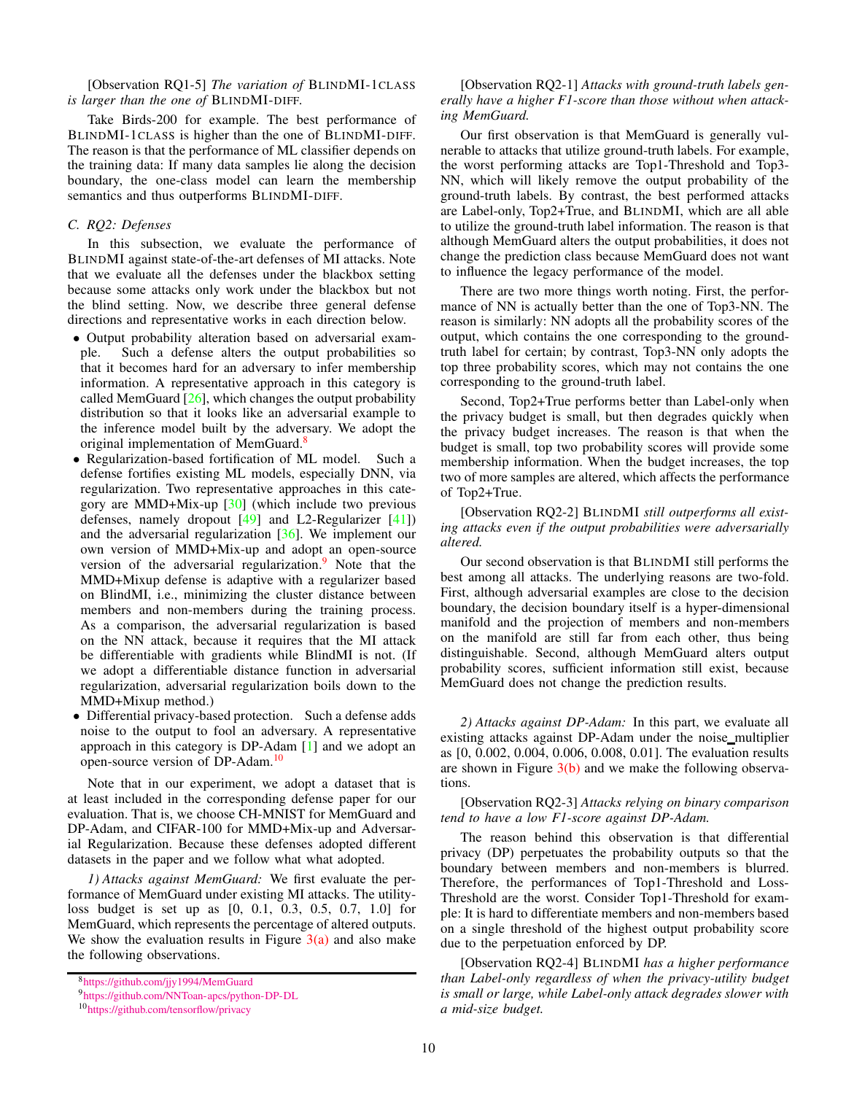[Observation RQ1-5] *The variation of* BLINDMI-1CLASS *is larger than the one of* BLINDMI-DIFF*.*

Take Birds-200 for example. The best performance of BLINDMI-1CLASS is higher than the one of BLINDMI-DIFF. The reason is that the performance of ML classifier depends on the training data: If many data samples lie along the decision boundary, the one-class model can learn the membership semantics and thus outperforms BLINDMI-DIFF.

# <span id="page-9-3"></span>*C. RQ2: Defenses*

In this subsection, we evaluate the performance of BLINDMI against state-of-the-art defenses of MI attacks. Note that we evaluate all the defenses under the blackbox setting because some attacks only work under the blackbox but not the blind setting. Now, we describe three general defense directions and representative works in each direction below.

- Output probability alteration based on adversarial example. Such a defense alters the output probabilities so that it becomes hard for an adversary to infer membership information. A representative approach in this category is called MemGuard  $[26]$ , which changes the output probability distribution so that it looks like an adversarial example to the inference model built by the adversary. We adopt the original implementation of MemGuard.<sup>[8](#page-9-0)</sup>
- Regularization-based fortification of ML model. Such a defense fortifies existing ML models, especially DNN, via regularization. Two representative approaches in this category are MMD+Mix-up [\[30\]](#page-16-16) (which include two previous defenses, namely dropout  $[49]$  and L2-Regularizer  $[41]$ ) and the adversarial regularization [\[36\]](#page-16-14). We implement our own version of MMD+Mix-up and adopt an open-source version of the adversarial regularization.<sup>[9](#page-9-1)</sup> Note that the MMD+Mixup defense is adaptive with a regularizer based on BlindMI, i.e., minimizing the cluster distance between members and non-members during the training process. As a comparison, the adversarial regularization is based on the NN attack, because it requires that the MI attack be differentiable with gradients while BlindMI is not. (If we adopt a differentiable distance function in adversarial regularization, adversarial regularization boils down to the MMD+Mixup method.)
- Differential privacy-based protection. Such a defense adds noise to the output to fool an adversary. A representative approach in this category is DP-Adam [\[1\]](#page-15-6) and we adopt an open-source version of DP-Adam.[10](#page-9-2)

Note that in our experiment, we adopt a dataset that is at least included in the corresponding defense paper for our evaluation. That is, we choose CH-MNIST for MemGuard and DP-Adam, and CIFAR-100 for MMD+Mix-up and Adversarial Regularization. Because these defenses adopted different datasets in the paper and we follow what what adopted.

*1) Attacks against MemGuard:* We first evaluate the performance of MemGuard under existing MI attacks. The utilityloss budget is set up as [0, 0.1, 0.3, 0.5, 0.7, 1.0] for MemGuard, which represents the percentage of altered outputs. We show the evaluation results in Figure  $3(a)$  and also make the following observations.

# [Observation RQ2-1] *Attacks with ground-truth labels generally have a higher F1-score than those without when attacking MemGuard.*

Our first observation is that MemGuard is generally vulnerable to attacks that utilize ground-truth labels. For example, the worst performing attacks are Top1-Threshold and Top3- NN, which will likely remove the output probability of the ground-truth labels. By contrast, the best performed attacks are Label-only, Top2+True, and BLINDMI, which are all able to utilize the ground-truth label information. The reason is that although MemGuard alters the output probabilities, it does not change the prediction class because MemGuard does not want to influence the legacy performance of the model.

There are two more things worth noting. First, the performance of NN is actually better than the one of Top3-NN. The reason is similarly: NN adopts all the probability scores of the output, which contains the one corresponding to the groundtruth label for certain; by contrast, Top3-NN only adopts the top three probability scores, which may not contains the one corresponding to the ground-truth label.

Second, Top2+True performs better than Label-only when the privacy budget is small, but then degrades quickly when the privacy budget increases. The reason is that when the budget is small, top two probability scores will provide some membership information. When the budget increases, the top two of more samples are altered, which affects the performance of Top2+True.

[Observation RQ2-2] BLINDMI *still outperforms all existing attacks even if the output probabilities were adversarially altered.*

Our second observation is that BLINDMI still performs the best among all attacks. The underlying reasons are two-fold. First, although adversarial examples are close to the decision boundary, the decision boundary itself is a hyper-dimensional manifold and the projection of members and non-members on the manifold are still far from each other, thus being distinguishable. Second, although MemGuard alters output probability scores, sufficient information still exist, because MemGuard does not change the prediction results.

*2) Attacks against DP-Adam:* In this part, we evaluate all existing attacks against DP-Adam under the noise multiplier as [0, 0.002, 0.004, 0.006, 0.008, 0.01]. The evaluation results are shown in Figure  $3(b)$  and we make the following observations.

[Observation RQ2-3] *Attacks relying on binary comparison tend to have a low F1-score against DP-Adam.*

The reason behind this observation is that differential privacy (DP) perpetuates the probability outputs so that the boundary between members and non-members is blurred. Therefore, the performances of Top1-Threshold and Loss-Threshold are the worst. Consider Top1-Threshold for example: It is hard to differentiate members and non-members based on a single threshold of the highest output probability score due to the perpetuation enforced by DP.

[Observation RQ2-4] BLINDMI *has a higher performance than Label-only regardless of when the privacy-utility budget is small or large, while Label-only attack degrades slower with a mid-size budget.*

<sup>8</sup><https://github.com/jjy1994/MemGuard>

<span id="page-9-0"></span><sup>9</sup><https://github.com/NNToan-apcs/python-DP-DL>

<span id="page-9-2"></span><span id="page-9-1"></span><sup>10</sup><https://github.com/tensorflow/privacy>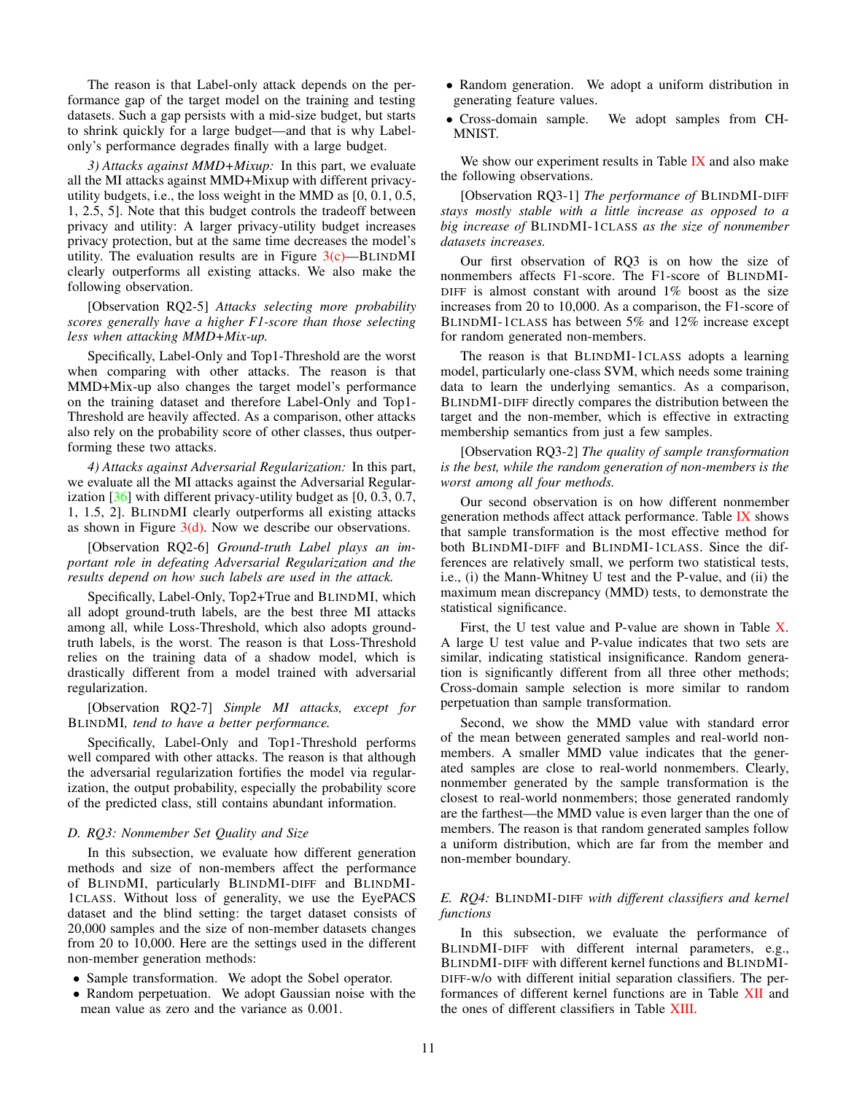The reason is that Label-only attack depends on the performance gap of the target model on the training and testing datasets. Such a gap persists with a mid-size budget, but starts to shrink quickly for a large budget—and that is why Labelonly's performance degrades finally with a large budget.

*3) Attacks against MMD+Mixup:* In this part, we evaluate all the MI attacks against MMD+Mixup with different privacyutility budgets, i.e., the loss weight in the MMD as [0, 0.1, 0.5, 1, 2.5, 5]. Note that this budget controls the tradeoff between privacy and utility: A larger privacy-utility budget increases privacy protection, but at the same time decreases the model's utility. The evaluation results are in Figure  $3(c)$ —BLINDMI clearly outperforms all existing attacks. We also make the following observation.

[Observation RQ2-5] *Attacks selecting more probability scores generally have a higher F1-score than those selecting less when attacking MMD+Mix-up.*

Specifically, Label-Only and Top1-Threshold are the worst when comparing with other attacks. The reason is that MMD+Mix-up also changes the target model's performance on the training dataset and therefore Label-Only and Top1- Threshold are heavily affected. As a comparison, other attacks also rely on the probability score of other classes, thus outperforming these two attacks.

*4) Attacks against Adversarial Regularization:* In this part, we evaluate all the MI attacks against the Adversarial Regularization  $[36]$  with different privacy-utility budget as  $[0, 0.3, 0.7, 0.7]$ 1, 1.5, 2]. BLINDMI clearly outperforms all existing attacks as shown in Figure  $3(d)$ . Now we describe our observations.

[Observation RQ2-6] *Ground-truth Label plays an important role in defeating Adversarial Regularization and the results depend on how such labels are used in the attack.*

Specifically, Label-Only, Top2+True and BLINDMI, which all adopt ground-truth labels, are the best three MI attacks among all, while Loss-Threshold, which also adopts groundtruth labels, is the worst. The reason is that Loss-Threshold relies on the training data of a shadow model, which is drastically different from a model trained with adversarial regularization.

[Observation RQ2-7] *Simple MI attacks, except for* BLINDMI*, tend to have a better performance.*

Specifically, Label-Only and Top1-Threshold performs well compared with other attacks. The reason is that although the adversarial regularization fortifies the model via regularization, the output probability, especially the probability score of the predicted class, still contains abundant information.

## *D. RQ3: Nonmember Set Quality and Size*

In this subsection, we evaluate how different generation methods and size of non-members affect the performance of BLINDMI, particularly BLINDMI-DIFF and BLINDMI-1CLASS. Without loss of generality, we use the EyePACS dataset and the blind setting: the target dataset consists of 20,000 samples and the size of non-member datasets changes from 20 to 10,000. Here are the settings used in the different non-member generation methods:

- Sample transformation. We adopt the Sobel operator.
- Random perpetuation. We adopt Gaussian noise with the mean value as zero and the variance as 0.001.
- Random generation. We adopt a uniform distribution in generating feature values.
- Cross-domain sample. We adopt samples from CH-MNIST.

We show our experiment results in Table [IX](#page-11-4) and also make the following observations.

[Observation RQ3-1] *The performance of* BLINDMI-DIFF *stays mostly stable with a little increase as opposed to a big increase of* BLINDMI-1CLASS *as the size of nonmember datasets increases.*

Our first observation of RQ3 is on how the size of nonmembers affects F1-score. The F1-score of BLINDMI-DIFF is almost constant with around 1% boost as the size increases from 20 to 10,000. As a comparison, the F1-score of BLINDMI-1CLASS has between 5% and 12% increase except for random generated non-members.

The reason is that BLINDMI-1CLASS adopts a learning model, particularly one-class SVM, which needs some training data to learn the underlying semantics. As a comparison, BLINDMI-DIFF directly compares the distribution between the target and the non-member, which is effective in extracting membership semantics from just a few samples.

[Observation RQ3-2] *The quality of sample transformation is the best, while the random generation of non-members is the worst among all four methods.*

Our second observation is on how different nonmember generation methods affect attack performance. Table [IX](#page-11-4) shows that sample transformation is the most effective method for both BLINDMI-DIFF and BLINDMI-1CLASS. Since the differences are relatively small, we perform two statistical tests, i.e., (i) the Mann-Whitney U test and the P-value, and (ii) the maximum mean discrepancy (MMD) tests, to demonstrate the statistical significance.

First, the U test value and P-value are shown in Table [X.](#page-11-5) A large U test value and P-value indicates that two sets are similar, indicating statistical insignificance. Random generation is significantly different from all three other methods; Cross-domain sample selection is more similar to random perpetuation than sample transformation.

Second, we show the MMD value with standard error of the mean between generated samples and real-world nonmembers. A smaller MMD value indicates that the generated samples are close to real-world nonmembers. Clearly, nonmember generated by the sample transformation is the closest to real-world nonmembers; those generated randomly are the farthest—the MMD value is even larger than the one of members. The reason is that random generated samples follow a uniform distribution, which are far from the member and non-member boundary.

# *E. RQ4:* BLINDMI-DIFF *with different classifiers and kernel functions*

In this subsection, we evaluate the performance of BLINDMI-DIFF with different internal parameters, e.g., BLINDMI-DIFF with different kernel functions and BLINDMI-DIFF-w/o with different initial separation classifiers. The performances of different kernel functions are in Table [XII](#page-12-0) and the ones of different classifiers in Table [XIII.](#page-12-1)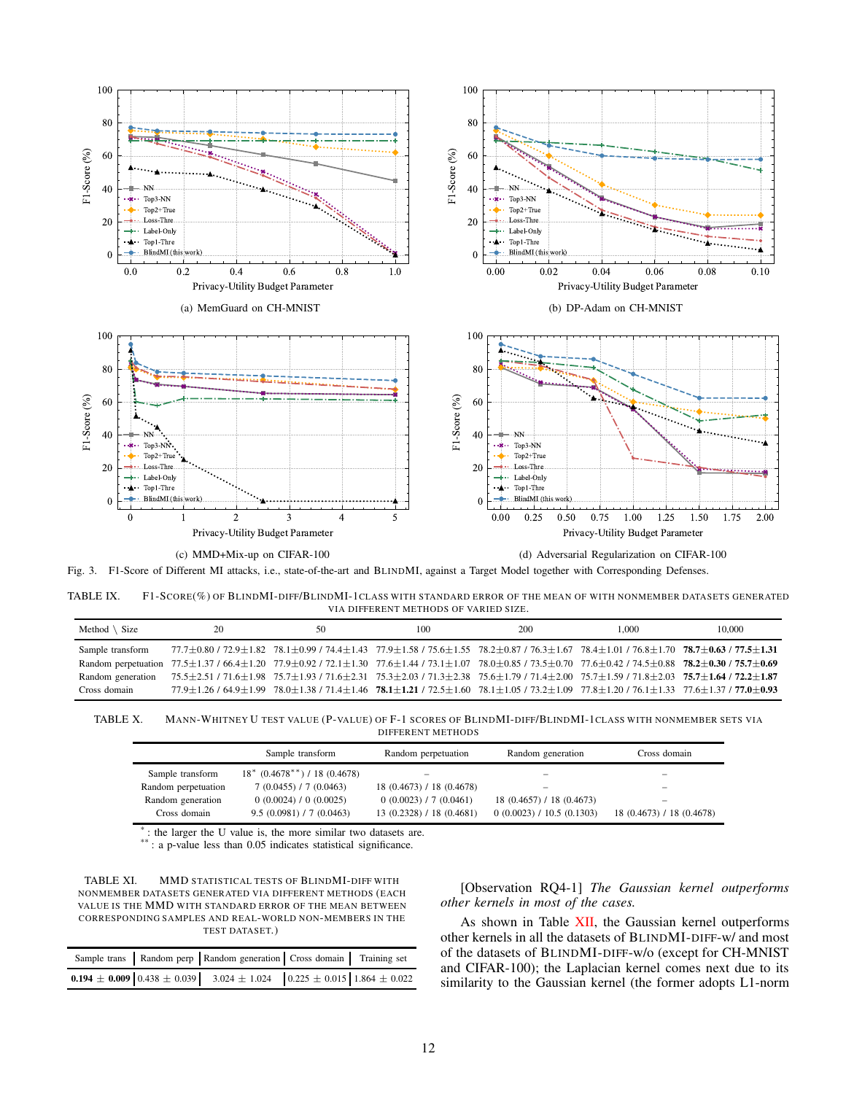<span id="page-11-0"></span>

<span id="page-11-4"></span>(c) MMD+Mix-up on CIFAR-100

<span id="page-11-3"></span><span id="page-11-1"></span>(d) Adversarial Regularization on CIFAR-100

<span id="page-11-2"></span>Fig. 3. F1-Score of Different MI attacks, i.e., state-of-the-art and BLINDMI, against a Target Model together with Corresponding Defenses.

TABLE IX. F1-SCORE(%) OF BLINDMI-DIFF/BLINDMI-1CLASS WITH STANDARD ERROR OF THE MEAN OF WITH NONMEMBER DATASETS GENERATED VIA DIFFERENT METHODS OF VARIED SIZE.

| Method $\setminus$ Size | 20                                                                                                                                                                                  | 50 | 100                                                                                                                                                                                                         | 200 | 1.000 | 10,000 |
|-------------------------|-------------------------------------------------------------------------------------------------------------------------------------------------------------------------------------|----|-------------------------------------------------------------------------------------------------------------------------------------------------------------------------------------------------------------|-----|-------|--------|
| Sample transform        | $77.7\pm0.80$ / $72.9\pm1.82$ $78.1\pm0.99$ / $74.4\pm1.43$ $77.9\pm1.58$ / $75.6\pm1.55$ $78.2\pm0.87$ / $76.3\pm1.67$ $78.4\pm1.01$ / $76.8\pm1.70$ $78.7\pm0.63$ / $77.5\pm1.31$ |    |                                                                                                                                                                                                             |     |       |        |
|                         | Random perpetuation 77.5±1.37 / 66.4±1.20 77.9±0.92 / 72.1±1.30 77.6±1.44 / 73.1±1.07 78.0±0.85 / 73.5±0.70 77.6±0.42 / 74.5±0.88 78.2±0.30 / 75.7±0.69                             |    |                                                                                                                                                                                                             |     |       |        |
|                         | Random generation 75.5±2.51 / 71.6±1.98 75.7±1.93 / 71.6±2.31 75.3±2.03 / 71.3±2.38 75.6±1.79 / 71.4±2.00 75.7±1.59 / 71.8±2.03 75.7±1.64 / 72.2±1.87                               |    |                                                                                                                                                                                                             |     |       |        |
| Cross domain            |                                                                                                                                                                                     |    | $77.9 \pm 1.26$ / 64.9 $\pm$ 1.99 78.0 $\pm$ 1.38 / 71.4 $\pm$ 1.46 78.1 $\pm$ 1.21 / 72.5 $\pm$ 1.60 78.1 $\pm$ 1.05 / 73.2 $\pm$ 1.09 77.8 $\pm$ 1.20 / 76.1 $\pm$ 1.33 77.6 $\pm$ 1.37 / 77.0 $\pm$ 0.93 |     |       |        |

TABLE X. MANN-WHITNEY U TEST VALUE (P-VALUE) OF F-1 SCORES OF BLINDMI-DIFF/BLINDMI-1CLASS WITH NONMEMBER SETS VIA DIFFERENT METHODS

<span id="page-11-5"></span>

|                     | Sample transform                             | Random perpetuation       | Random generation         | Cross domain              |
|---------------------|----------------------------------------------|---------------------------|---------------------------|---------------------------|
| Sample transform    | $18^*$ (0.4678 <sup>**</sup> ) / 18 (0.4678) |                           |                           |                           |
| Random perpetuation | 7(0.0455) / 7(0.0463)                        | 18 (0.4673) / 18 (0.4678) | -                         | $-$                       |
| Random generation   | 0(0.0024) / 0(0.0025)                        | 0(0.0023) / 7(0.0461)     | 18 (0.4657) / 18 (0.4673) | -                         |
| Cross domain        | 9.5(0.0981) / 7(0.0463)                      | 13 (0.2328) / 18 (0.4681) | 0(0.0023) / 10.5(0.1303)  | 18 (0.4673) / 18 (0.4678) |

\* : the larger the U value is, the more similar two datasets are.

\*\* : a p-value less than 0.05 indicates statistical significance.



|  | Sample trans   Random perp   Random generation   Cross domain   Training set                                                                            |  |
|--|---------------------------------------------------------------------------------------------------------------------------------------------------------|--|
|  | <b>0.194</b> ± <b>0.009</b> $\begin{bmatrix} 0.438 \pm 0.039 \end{bmatrix}$ 3.024 ± 1.024 $\begin{bmatrix} 0.225 \pm 0.015 \end{bmatrix}$ 1.864 ± 0.022 |  |

[Observation RQ4-1] *The Gaussian kernel outperforms other kernels in most of the cases.*

As shown in Table [XII,](#page-12-0) the Gaussian kernel outperforms other kernels in all the datasets of BLINDMI-DIFF-w/ and most of the datasets of BLINDMI-DIFF-w/o (except for CH-MNIST and CIFAR-100); the Laplacian kernel comes next due to its similarity to the Gaussian kernel (the former adopts L1-norm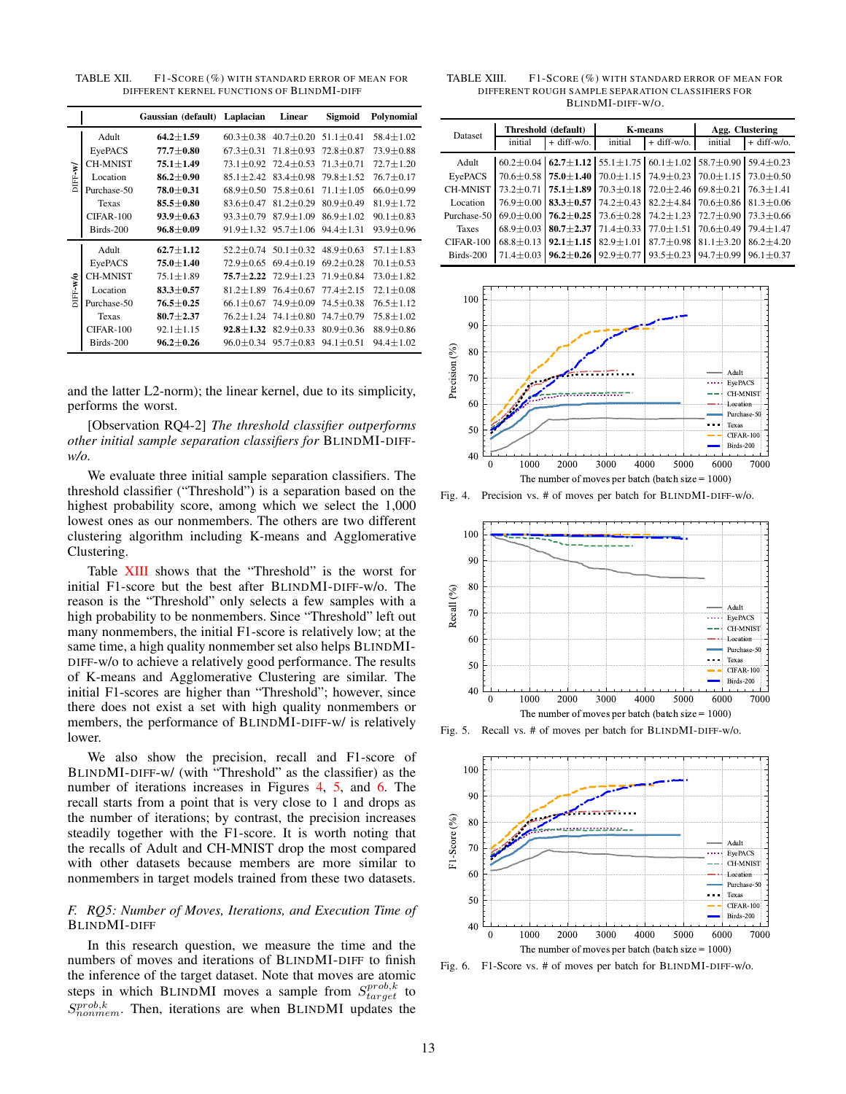<span id="page-12-0"></span>TABLE XII. F1-SCORE (%) WITH STANDARD ERROR OF MEAN FOR DIFFERENT KERNEL FUNCTIONS OF BLINDMI-DIFF

|         |                 | Gaussian (default) Laplacian |                 | Linear          | Sigmoid                     | Polynomial      |
|---------|-----------------|------------------------------|-----------------|-----------------|-----------------------------|-----------------|
|         | Adult           | $64.2 \pm 1.59$              | $60.3 + 0.38$   | $40.7 \pm 0.20$ | $51.1 + 0.41$               | $58.4 \pm 1.02$ |
|         | EyePACS         | $77.7 \pm 0.80$              | $67.3 \pm 0.31$ | $71.8 \pm 0.93$ | $72.8 + 0.87$               | $73.9 \pm 0.88$ |
|         | <b>CH-MNIST</b> | $75.1 \pm 1.49$              | $73.1 + 0.92$   | $72.4 \pm 0.53$ | $71.3 \pm 0.71$             | $72.7 \pm 1.20$ |
| DIFF-W  | Location        | $86.2 \pm 0.90$              | $85.1 \pm 2.42$ | $83.4 \pm 0.98$ | $79.8 \pm 1.52$             | $76.7 \pm 0.17$ |
|         | Purchase-50     | $78.0 \pm 0.31$              | $68.9 + 0.50$   | $75.8 + 0.61$   | $71.1 + 1.05$               | $66.0 + 0.99$   |
|         | Texas           | $85.5 \pm 0.80$              | $83.6 \pm 0.47$ | $81.2 \pm 0.29$ | $80.9 + 0.49$               | $81.9 \pm 1.72$ |
|         | $CIFAR-100$     | $93.9 \pm 0.63$              | $93.3 \pm 0.79$ | $87.9 \pm 1.09$ | $86.9 \pm 1.02$             | $90.1 \pm 0.83$ |
|         | Birds-200       | $96.8 \pm 0.09$              | $91.9 \pm 1.32$ | $95.7 \pm 1.06$ | $94.4 \pm 1.31$             | $93.9 \pm 0.96$ |
|         | Adult           | $62.7 \pm 1.12$              | $52.2 + 0.74$   |                 | $50.1 + 0.32$ $48.9 + 0.63$ | $57.1 + 1.83$   |
|         | EyePACS         | $75.0 + 1.40$                | $72.9 + 0.65$   | $69.4 + 0.19$   | $69.2 + 0.28$               | $70.1 + 0.53$   |
|         | <b>CH-MNIST</b> | $75.1 \pm 1.89$              | $75.7 + 2.22$   | $72.9 \pm 1.23$ | $71.9 + 0.84$               | $73.0 + 1.82$   |
| DIFF-WO | Location        | $83.3 \pm 0.57$              | $81.2 + 1.89$   | $76.4 \pm 0.67$ | $77.4 + 2.15$               | $72.1 \pm 0.08$ |
|         | Purchase-50     | $76.5 \pm 0.25$              | $66.1 \pm 0.67$ | $74.9 \pm 0.09$ | $74.5 \pm 0.38$             | $76.5 \pm 1.12$ |
|         | Texas           | $80.7 \pm 2.37$              | $76.2 \pm 1.24$ | $74.1 \pm 0.80$ | $74.7 \pm 0.79$             | $75.8 \pm 1.02$ |
|         | $CIFAR-100$     | $92.1 \pm 1.15$              | $92.8 + 1.32$   | $82.9 \pm 0.33$ | $80.9 + 0.36$               | $88.9 \pm 0.86$ |
|         | Birds-200       | $96.2 \pm 0.26$              | $96.0 \pm 0.34$ | $95.7 \pm 0.83$ | $94.1 \pm 0.51$             | $94.4 \pm 1.02$ |

and the latter L2-norm); the linear kernel, due to its simplicity, performs the worst.

[Observation RQ4-2] *The threshold classifier outperforms other initial sample separation classifiers for* BLINDMI-DIFF*w/o.*

We evaluate three initial sample separation classifiers. The threshold classifier ("Threshold") is a separation based on the highest probability score, among which we select the 1,000 lowest ones as our nonmembers. The others are two different clustering algorithm including K-means and Agglomerative Clustering.

Table [XIII](#page-12-1) shows that the "Threshold" is the worst for initial F1-score but the best after BLINDMI-DIFF-w/o. The reason is the "Threshold" only selects a few samples with a high probability to be nonmembers. Since "Threshold" left out many nonmembers, the initial F1-score is relatively low; at the same time, a high quality nonmember set also helps BLINDMI-DIFF-w/o to achieve a relatively good performance. The results of K-means and Agglomerative Clustering are similar. The initial F1-scores are higher than "Threshold"; however, since there does not exist a set with high quality nonmembers or members, the performance of BLINDMI-DIFF-w/ is relatively lower.

We also show the precision, recall and F1-score of BLINDMI-DIFF-w/ (with "Threshold" as the classifier) as the number of iterations increases in Figures [4,](#page-12-2) [5,](#page-12-3) and [6.](#page-12-4) The recall starts from a point that is very close to 1 and drops as the number of iterations; by contrast, the precision increases steadily together with the F1-score. It is worth noting that the recalls of Adult and CH-MNIST drop the most compared with other datasets because members are more similar to nonmembers in target models trained from these two datasets.

# *F. RQ5: Number of Moves, Iterations, and Execution Time of* BLINDMI-DIFF

In this research question, we measure the time and the numbers of moves and iterations of BLINDMI-DIFF to finish the inference of the target dataset. Note that moves are atomic steps in which BLINDMI moves a sample from  $S_{target}^{prob,k}$  to  $S_{nonmem}^{prob,k}$ . Then, iterations are when BLINDMI updates the

<span id="page-12-1"></span>TABLE XIII. F1-SCORE (%) WITH STANDARD ERROR OF MEAN FOR DIFFERENT ROUGH SAMPLE SEPARATION CLASS IFIERS FOR BLINDMI-DIFF-W/O.

| <b>Dataset</b>  | Threshold (default) |                                                 | <b>K-means</b>                                                                                  |                 | Agg. Clustering                                 |                                 |
|-----------------|---------------------|-------------------------------------------------|-------------------------------------------------------------------------------------------------|-----------------|-------------------------------------------------|---------------------------------|
|                 | initial             | $+$ diff-w/o.                                   | initial                                                                                         | $+$ diff-w/o.   | initial                                         | $+$ diff-w/o.                   |
| Adult           |                     |                                                 | $60.2 \pm 0.04$ 62.7 $\pm$ 1.12 55.1 $\pm$ 1.75 60.1 $\pm$ 1.02 58.7 $\pm$ 0.90 59.4 $\pm$ 0.23 |                 |                                                 |                                 |
| EyePACS         |                     | $70.6 \pm 0.58$   $75.0 \pm 1.40$               | $70.0 \pm 1.15$                                                                                 |                 | $74.9 \pm 0.23$ 70.0 $\pm$ 1.15 73.0 $\pm$ 0.50 |                                 |
| <b>CH-MNIST</b> |                     | $73.2 \pm 0.71$ 75.1 $\pm$ 1.89                 | $70.3 \pm 0.18$                                                                                 | $72.0 \pm 2.46$ | $69.8 \pm 0.21$                                 | $76.3 + 1.41$                   |
| Location        |                     | $76.9 \pm 0.00$ 83.3 $\pm$ 0.57                 | $74.2 \pm 0.43$                                                                                 | $82.2 \pm 4.84$ |                                                 | $70.6 \pm 0.86$ 81.3 $\pm 0.06$ |
| Purchase-50     |                     | $69.0 \pm 0.00$   76.2 $\pm$ 0.25               | $73.6 \pm 0.28$                                                                                 | $74.2 \pm 1.23$ |                                                 | $72.7 \pm 0.90$ 73.3 $\pm$ 0.66 |
| <b>Taxes</b>    |                     | $68.9 \pm 0.03$ 80.7 $\pm$ 2.37                 | $71.4 \pm 0.33$                                                                                 | $77.0 \pm 1.51$ | $70.6 \pm 0.49$ 79.4 $\pm$ 1.47                 |                                 |
| $CIFAR-100$     |                     | $68.8 \pm 0.13$ 92.1 $\pm$ 1.15 82.9 $\pm$ 1.01 |                                                                                                 | $87.7 \pm 0.98$ | $81.1 \pm 3.20$                                 | $86.2 + 4.20$                   |
| Birds-200       |                     |                                                 | 71.4 $\pm$ 0.03 96.2 $\pm$ 0.26 92.9 $\pm$ 0.77                                                 |                 | $93.5 \pm 0.23$ 94.7 $\pm 0.99$                 | $96.1 \pm 0.37$                 |



<span id="page-12-2"></span>Fig. 4. Precision vs. # of moves per batch for BLINDMI-DIFF-w/o.



Fig. 5. Recall vs. # of moves per batch for BLINDMI-DIFF-w/o.

<span id="page-12-3"></span>

<span id="page-12-4"></span>Fig. 6. F1-Score vs. # of moves per batch for BLINDMI-DIFF-w/o.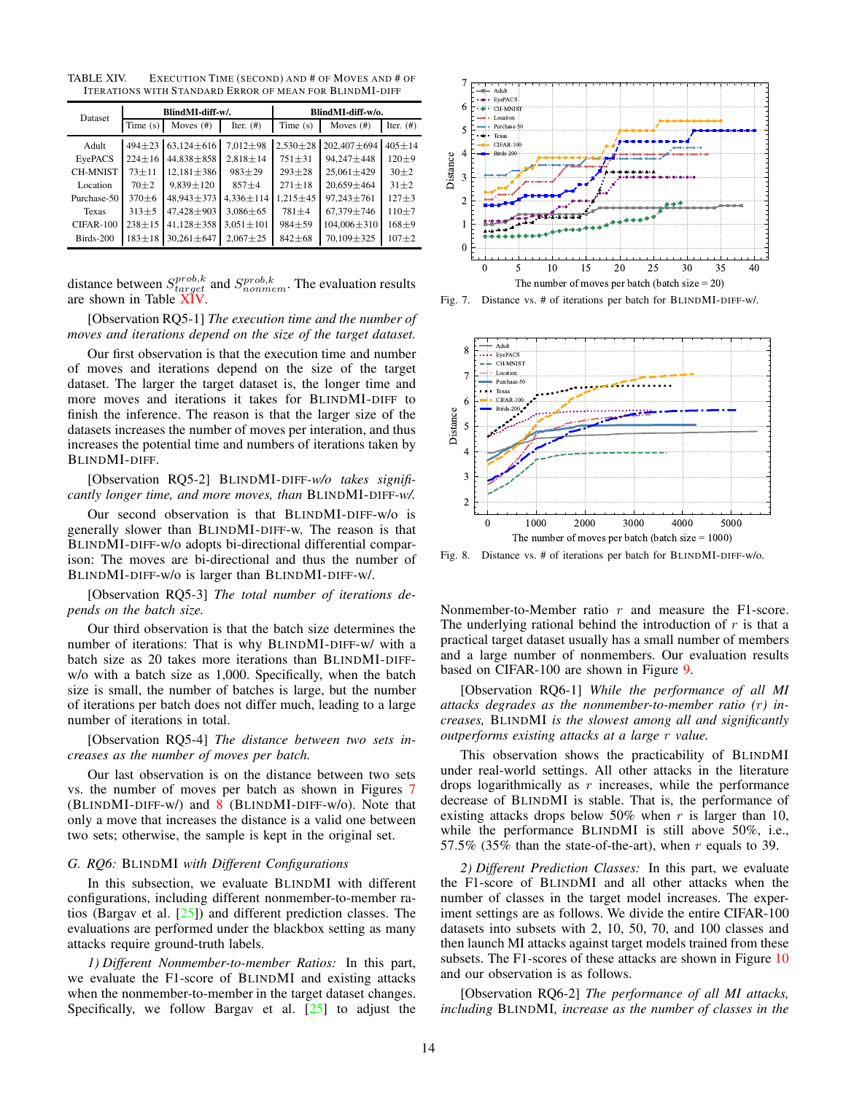<span id="page-13-0"></span>TABLE XIV. EXECUTION TIME (SECOND) AND # OF MOVES AND # OF ITERATIONS WITH STANDARD ERROR OF MEAN FOR BLINDMI-DIFF

| Dataset         | BlindMI-diff-w/. |                  |                 | BlindMI-diff-w/o. |                   |              |
|-----------------|------------------|------------------|-----------------|-------------------|-------------------|--------------|
|                 | Time $(s)$       | Moves $(\#)$     | Iter. $(#)$     | Time $(s)$        | Moves $(#)$       | Iter. $(4)$  |
| Adult           | $494 + 23$       | $63,124\pm616$   | $7.012 \pm 98$  | $2.530 \pm 28$    | 202,407±694       | $405 \pm 14$ |
| EyePACS         | $224 \pm 16$     | $44.838 \pm 858$ | $2.818 \pm 14$  | $751 \pm 31$      | 94.247 ± 448      | $120 + 9$    |
| <b>CH-MNIST</b> | $73 + 11$        | $12.181 \pm 386$ | $983 \pm 29$    | $293 \pm 28$      | $25.061 \pm 429$  | $30 + 2$     |
| Location        | $70 + 2$         | $9.839 \pm 120$  | $857 + 4$       | $271 \pm 18$      | $20.659 \pm 464$  | $31 + 2$     |
| Purchase-50     | $370\pm6$        | 48,943±373       | $4,336 \pm 114$ | $1,215 \pm 45$    | 97,243±761        | $127 + 3$    |
| Texas           | $313+5$          | 47,428 ± 903     | $3,086 \pm 65$  | $781 + 4$         | 67,379±746        | $110 + 7$    |
| $CIFAR-100$     | $238 + 15$       | $41,128 \pm 358$ | $3,051 \pm 101$ | $984 + 59$        | $104,006 \pm 310$ | $168 + 9$    |
| Birds-200       | $183 + 18$       | $30.261 \pm 647$ | $2.067 \pm 25$  | $842 \pm 68$      | 70,109±325        | $107 + 2$    |

distance between  $S_{target}^{prob,k}$  and  $S_{nonmem}^{prob,k}$ . The evaluation results are shown in Table [XIV.](#page-13-0)

[Observation RQ5-1] *The execution time and the number of moves and iterations depend on the size of the target dataset.*

Our first observation is that the execution time and number of moves and iterations depend on the size of the target dataset. The larger the target dataset is, the longer time and more moves and iterations it takes for BLINDMI-DIFF to finish the inference. The reason is that the larger size of the datasets increases the number of moves per interation, and thus increases the potential time and numbers of iterations taken by BLINDMI-DIFF.

[Observation RQ5-2] BLINDMI-DIFF*-w/o takes significantly longer time, and more moves, than* BLINDMI-DIFF*-w/.*

Our second observation is that BLINDMI-DIFF-w/o is generally slower than BLINDMI-DIFF-w. The reason is that BLINDMI-DIFF-w/o adopts bi-directional differential comparison: The moves are bi-directional and thus the number of BLINDMI-DIFF-w/o is larger than BLINDMI-DIFF-w/.

[Observation RQ5-3] *The total number of iterations depends on the batch size.*

Our third observation is that the batch size determines the number of iterations: That is why BLINDMI-DIFF-w/ with a batch size as 20 takes more iterations than BLINDMI-DIFFw/o with a batch size as 1,000. Specifically, when the batch size is small, the number of batches is large, but the number of iterations per batch does not differ much, leading to a large number of iterations in total.

[Observation RQ5-4] *The distance between two sets increases as the number of moves per batch.*

Our last observation is on the distance between two sets vs. the number of moves per batch as shown in Figures [7](#page-13-1)  $(BLINDMI-DIFF-w)$  and  $8$  (BLINDMI-DIFF-w/o). Note that only a move that increases the distance is a valid one between two sets; otherwise, the sample is kept in the original set.

# *G. RQ6:* BLINDMI *with Different Configurations*

In this subsection, we evaluate BLINDMI with different configurations, including different nonmember-to-member ratios (Bargav et al. [\[25\]](#page-16-13)) and different prediction classes. The evaluations are performed under the blackbox setting as many attacks require ground-truth labels.

*1) Different Nonmember-to-member Ratios:* In this part, we evaluate the F1-score of BLINDMI and existing attacks when the nonmember-to-member in the target dataset changes. Specifically, we follow Bargav et al. [\[25\]](#page-16-13) to adjust the



<span id="page-13-1"></span>Fig. 7. Distance vs. # of iterations per batch for BLINDMI-DIFF-w/.



<span id="page-13-2"></span>Fig. 8. Distance vs. # of iterations per batch for BLINDMI-DIFF-w/o.

Nonmember-to-Member ratio r and measure the F1-score. The underlying rational behind the introduction of  $r$  is that a practical target dataset usually has a small number of members and a large number of nonmembers. Our evaluation results based on CIFAR-100 are shown in Figure [9.](#page-14-0)

[Observation RQ6-1] *While the performance of all MI attacks degrades as the nonmember-to-member ratio (*r*) increases,* BLINDMI *is the slowest among all and significantly outperforms existing attacks at a large* r *value.*

This observation shows the practicability of BLINDMI under real-world settings. All other attacks in the literature drops logarithmically as  $r$  increases, while the performance decrease of BLINDMI is stable. That is, the performance of existing attacks drops below 50% when r is larger than 10, while the performance BLINDMI is still above 50%, i.e., 57.5% (35% than the state-of-the-art), when r equals to 39.

*2) Different Prediction Classes:* In this part, we evaluate the F1-score of BLINDMI and all other attacks when the number of classes in the target model increases. The experiment settings are as follows. We divide the entire CIFAR-100 datasets into subsets with 2, 10, 50, 70, and 100 classes and then launch MI attacks against target models trained from these subsets. The F1-scores of these attacks are shown in Figure [10](#page-14-1) and our observation is as follows.

[Observation RQ6-2] *The performance of all MI attacks, including* BLINDMI*, increase as the number of classes in the*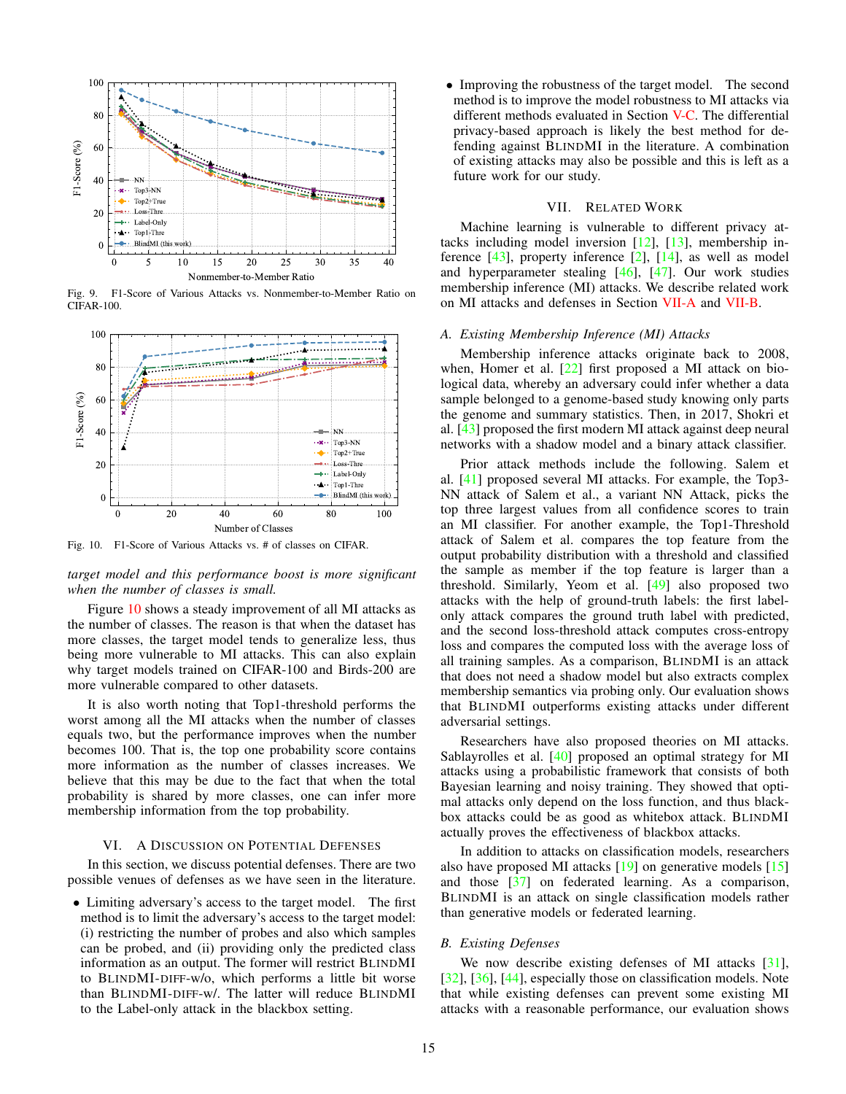

<span id="page-14-0"></span>Fig. 9. F1-Score of Various Attacks vs. Nonmember-to-Member Ratio on CIFAR-100.



<span id="page-14-1"></span>Fig. 10. F1-Score of Various Attacks vs. # of classes on CIFAR.

*target model and this performance boost is more significant when the number of classes is small.*

Figure [10](#page-14-1) shows a steady improvement of all MI attacks as the number of classes. The reason is that when the dataset has more classes, the target model tends to generalize less, thus being more vulnerable to MI attacks. This can also explain why target models trained on CIFAR-100 and Birds-200 are more vulnerable compared to other datasets.

It is also worth noting that Top1-threshold performs the worst among all the MI attacks when the number of classes equals two, but the performance improves when the number becomes 100. That is, the top one probability score contains more information as the number of classes increases. We believe that this may be due to the fact that when the total probability is shared by more classes, one can infer more membership information from the top probability.

#### VI. A DISCUSSION ON POTENTIAL DEFENSES

In this section, we discuss potential defenses. There are two possible venues of defenses as we have seen in the literature.

• Limiting adversary's access to the target model. The first method is to limit the adversary's access to the target model: (i) restricting the number of probes and also which samples can be probed, and (ii) providing only the predicted class information as an output. The former will restrict BLINDMI to BLINDMI-DIFF-w/o, which performs a little bit worse than BLINDMI-DIFF-w/. The latter will reduce BLINDMI to the Label-only attack in the blackbox setting.

• Improving the robustness of the target model. The second method is to improve the model robustness to MI attacks via different methods evaluated in Section [V-C.](#page-9-3) The differential privacy-based approach is likely the best method for defending against BLINDMI in the literature. A combination of existing attacks may also be possible and this is left as a future work for our study.

# VII. RELATED WORK

Machine learning is vulnerable to different privacy attacks including model inversion [\[12\]](#page-15-4), [\[13\]](#page-15-8), membership inference [\[43\]](#page-16-9), property inference [\[2\]](#page-15-9), [\[14\]](#page-15-10), as well as model and hyperparameter stealing [\[46\]](#page-16-5), [\[47\]](#page-16-6). Our work studies membership inference (MI) attacks. We describe related work on MI attacks and defenses in Section [VII-A](#page-14-2) and [VII-B.](#page-14-3)

#### <span id="page-14-2"></span>*A. Existing Membership Inference (MI) Attacks*

Membership inference attacks originate back to 2008, when, Homer et al. [\[22\]](#page-16-20) first proposed a MI attack on biological data, whereby an adversary could infer whether a data sample belonged to a genome-based study knowing only parts the genome and summary statistics. Then, in 2017, Shokri et al. [\[43\]](#page-16-9) proposed the first modern MI attack against deep neural networks with a shadow model and a binary attack classifier.

Prior attack methods include the following. Salem et al. [\[41\]](#page-16-8) proposed several MI attacks. For example, the Top3- NN attack of Salem et al., a variant NN Attack, picks the top three largest values from all confidence scores to train an MI classifier. For another example, the Top1-Threshold attack of Salem et al. compares the top feature from the output probability distribution with a threshold and classified the sample as member if the top feature is larger than a threshold. Similarly, Yeom et al. [\[49\]](#page-16-10) also proposed two attacks with the help of ground-truth labels: the first labelonly attack compares the ground truth label with predicted, and the second loss-threshold attack computes cross-entropy loss and compares the computed loss with the average loss of all training samples. As a comparison, BLINDMI is an attack that does not need a shadow model but also extracts complex membership semantics via probing only. Our evaluation shows that BLINDMI outperforms existing attacks under different adversarial settings.

Researchers have also proposed theories on MI attacks. Sablayrolles et al. [\[40\]](#page-16-7) proposed an optimal strategy for MI attacks using a probabilistic framework that consists of both Bayesian learning and noisy training. They showed that optimal attacks only depend on the loss function, and thus blackbox attacks could be as good as whitebox attack. BLINDMI actually proves the effectiveness of blackbox attacks.

In addition to attacks on classification models, researchers also have proposed MI attacks [\[19\]](#page-16-21) on generative models [\[15\]](#page-15-11) and those [\[37\]](#page-16-22) on federated learning. As a comparison, BLINDMI is an attack on single classification models rather than generative models or federated learning.

## <span id="page-14-3"></span>*B. Existing Defenses*

We now describe existing defenses of MI attacks [\[31\]](#page-16-23), [\[32\]](#page-16-24), [\[36\]](#page-16-14), [\[44\]](#page-16-25), especially those on classification models. Note that while existing defenses can prevent some existing MI attacks with a reasonable performance, our evaluation shows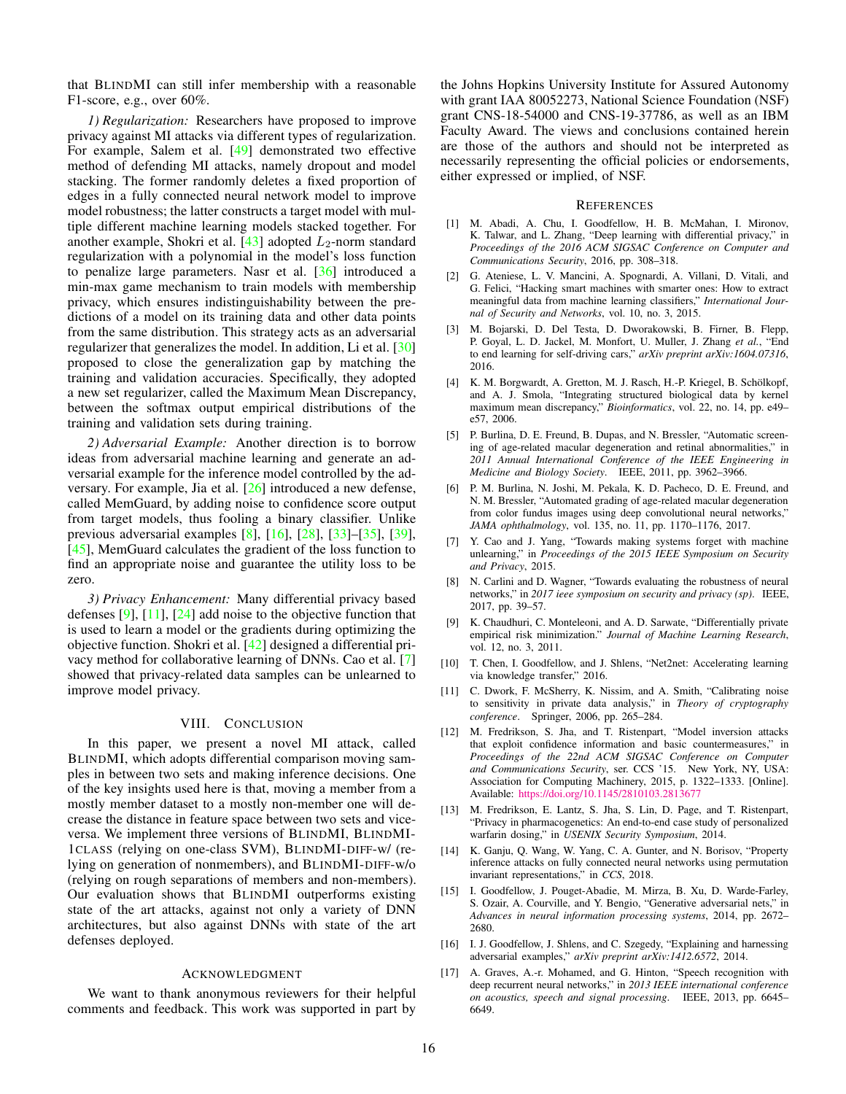that BLINDMI can still infer membership with a reasonable F1-score, e.g., over 60%.

*1) Regularization:* Researchers have proposed to improve privacy against MI attacks via different types of regularization. For example, Salem et al. [\[49\]](#page-16-10) demonstrated two effective method of defending MI attacks, namely dropout and model stacking. The former randomly deletes a fixed proportion of edges in a fully connected neural network model to improve model robustness; the latter constructs a target model with multiple different machine learning models stacked together. For another example, Shokri et al.  $[43]$  adopted  $L_2$ -norm standard regularization with a polynomial in the model's loss function to penalize large parameters. Nasr et al. [\[36\]](#page-16-14) introduced a min-max game mechanism to train models with membership privacy, which ensures indistinguishability between the predictions of a model on its training data and other data points from the same distribution. This strategy acts as an adversarial regularizer that generalizes the model. In addition, Li et al. [\[30\]](#page-16-16) proposed to close the generalization gap by matching the training and validation accuracies. Specifically, they adopted a new set regularizer, called the Maximum Mean Discrepancy, between the softmax output empirical distributions of the training and validation sets during training.

*2) Adversarial Example:* Another direction is to borrow ideas from adversarial machine learning and generate an adversarial example for the inference model controlled by the adversary. For example, Jia et al. [\[26\]](#page-16-15) introduced a new defense, called MemGuard, by adding noise to confidence score output from target models, thus fooling a binary classifier. Unlike previous adversarial examples [\[8\]](#page-15-12), [\[16\]](#page-15-13), [\[28\]](#page-16-26), [\[33\]](#page-16-27)–[\[35\]](#page-16-28), [\[39\]](#page-16-29), [\[45\]](#page-16-30), MemGuard calculates the gradient of the loss function to find an appropriate noise and guarantee the utility loss to be zero.

*3) Privacy Enhancement:* Many differential privacy based defenses [\[9\]](#page-15-14), [\[11\]](#page-15-15), [\[24\]](#page-16-31) add noise to the objective function that is used to learn a model or the gradients during optimizing the objective function. Shokri et al. [\[42\]](#page-16-32) designed a differential privacy method for collaborative learning of DNNs. Cao et al. [\[7\]](#page-15-16) showed that privacy-related data samples can be unlearned to improve model privacy.

## VIII. CONCLUSION

In this paper, we present a novel MI attack, called BLINDMI, which adopts differential comparison moving samples in between two sets and making inference decisions. One of the key insights used here is that, moving a member from a mostly member dataset to a mostly non-member one will decrease the distance in feature space between two sets and viceversa. We implement three versions of BLINDMI, BLINDMI-1CLASS (relying on one-class SVM), BLINDMI-DIFF-w/ (relying on generation of nonmembers), and BLINDMI-DIFF-w/o (relying on rough separations of members and non-members). Our evaluation shows that BLINDMI outperforms existing state of the art attacks, against not only a variety of DNN architectures, but also against DNNs with state of the art defenses deployed.

#### ACKNOWLEDGMENT

We want to thank anonymous reviewers for their helpful comments and feedback. This work was supported in part by the Johns Hopkins University Institute for Assured Autonomy with grant IAA 80052273, National Science Foundation (NSF) grant CNS-18-54000 and CNS-19-37786, as well as an IBM Faculty Award. The views and conclusions contained herein are those of the authors and should not be interpreted as necessarily representing the official policies or endorsements, either expressed or implied, of NSF.

#### **REFERENCES**

- <span id="page-15-6"></span>[1] M. Abadi, A. Chu, I. Goodfellow, H. B. McMahan, I. Mironov, K. Talwar, and L. Zhang, "Deep learning with differential privacy," in *Proceedings of the 2016 ACM SIGSAC Conference on Computer and Communications Security*, 2016, pp. 308–318.
- <span id="page-15-9"></span>[2] G. Ateniese, L. V. Mancini, A. Spognardi, A. Villani, D. Vitali, and G. Felici, "Hacking smart machines with smarter ones: How to extract meaningful data from machine learning classifiers," *International Journal of Security and Networks*, vol. 10, no. 3, 2015.
- <span id="page-15-3"></span>[3] M. Bojarski, D. Del Testa, D. Dworakowski, B. Firner, B. Flepp, P. Goyal, L. D. Jackel, M. Monfort, U. Muller, J. Zhang *et al.*, "End to end learning for self-driving cars," *arXiv preprint arXiv:1604.07316*, 2016.
- <span id="page-15-7"></span>[4] K. M. Borgwardt, A. Gretton, M. J. Rasch, H.-P. Kriegel, B. Schölkopf, and A. J. Smola, "Integrating structured biological data by kernel maximum mean discrepancy," *Bioinformatics*, vol. 22, no. 14, pp. e49– e57, 2006.
- <span id="page-15-0"></span>[5] P. Burlina, D. E. Freund, B. Dupas, and N. Bressler, "Automatic screening of age-related macular degeneration and retinal abnormalities," in *2011 Annual International Conference of the IEEE Engineering in Medicine and Biology Society*. IEEE, 2011, pp. 3962–3966.
- <span id="page-15-1"></span>[6] P. M. Burlina, N. Joshi, M. Pekala, K. D. Pacheco, D. E. Freund, and N. M. Bressler, "Automated grading of age-related macular degeneration from color fundus images using deep convolutional neural networks," *JAMA ophthalmology*, vol. 135, no. 11, pp. 1170–1176, 2017.
- <span id="page-15-16"></span>[7] Y. Cao and J. Yang, "Towards making systems forget with machine unlearning," in *Proceedings of the 2015 IEEE Symposium on Security and Privacy*, 2015.
- <span id="page-15-12"></span>[8] N. Carlini and D. Wagner, "Towards evaluating the robustness of neural networks," in *2017 ieee symposium on security and privacy (sp)*. IEEE, 2017, pp. 39–57.
- <span id="page-15-14"></span>[9] K. Chaudhuri, C. Monteleoni, and A. D. Sarwate, "Differentially private empirical risk minimization." *Journal of Machine Learning Research*, vol. 12, no. 3, 2011.
- <span id="page-15-5"></span>[10] T. Chen, I. Goodfellow, and J. Shlens, "Net2net: Accelerating learning via knowledge transfer," 2016.
- <span id="page-15-15"></span>[11] C. Dwork, F. McSherry, K. Nissim, and A. Smith, "Calibrating noise to sensitivity in private data analysis," in *Theory of cryptography conference*. Springer, 2006, pp. 265–284.
- <span id="page-15-4"></span>[12] M. Fredrikson, S. Jha, and T. Ristenpart, "Model inversion attacks that exploit confidence information and basic countermeasures," in *Proceedings of the 22nd ACM SIGSAC Conference on Computer and Communications Security*, ser. CCS '15. New York, NY, USA: Association for Computing Machinery, 2015, p. 1322–1333. [Online]. Available: <https://doi.org/10.1145/2810103.2813677>
- <span id="page-15-8"></span>[13] M. Fredrikson, E. Lantz, S. Jha, S. Lin, D. Page, and T. Ristenpart, "Privacy in pharmacogenetics: An end-to-end case study of personalized warfarin dosing," in *USENIX Security Symposium*, 2014.
- <span id="page-15-10"></span>[14] K. Ganju, O. Wang, W. Yang, C. A. Gunter, and N. Borisov, "Property inference attacks on fully connected neural networks using permutation invariant representations," in *CCS*, 2018.
- <span id="page-15-11"></span>[15] I. Goodfellow, J. Pouget-Abadie, M. Mirza, B. Xu, D. Warde-Farley, S. Ozair, A. Courville, and Y. Bengio, "Generative adversarial nets," in *Advances in neural information processing systems*, 2014, pp. 2672– 2680.
- <span id="page-15-13"></span>[16] I. J. Goodfellow, J. Shlens, and C. Szegedy, "Explaining and harnessing adversarial examples," *arXiv preprint arXiv:1412.6572*, 2014.
- <span id="page-15-2"></span>[17] A. Graves, A.-r. Mohamed, and G. Hinton, "Speech recognition with deep recurrent neural networks," in *2013 IEEE international conference on acoustics, speech and signal processing*. IEEE, 2013, pp. 6645– 6649.